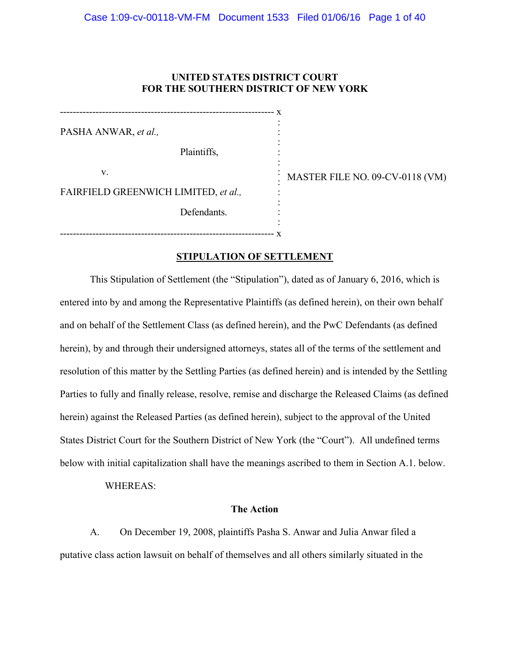# **UNITED STATES DISTRICT COURT FOR THE SOUTHERN DISTRICT OF NEW YORK**

------------------------------------------------------------------ x PASHA ANWAR, *et al.,* Plaintiffs, v. FAIRFIELD GREENWICH LIMITED, *et al.,* Defendants. : : : : : : : : :

------------------------------------------------------------------ x

: MASTER FILE NO. 09-CV-0118 (VM)

# **STIPULATION OF SETTLEMENT**

:

This Stipulation of Settlement (the "Stipulation"), dated as of January 6, 2016, which is entered into by and among the Representative Plaintiffs (as defined herein), on their own behalf and on behalf of the Settlement Class (as defined herein), and the PwC Defendants (as defined herein), by and through their undersigned attorneys, states all of the terms of the settlement and resolution of this matter by the Settling Parties (as defined herein) and is intended by the Settling Parties to fully and finally release, resolve, remise and discharge the Released Claims (as defined herein) against the Released Parties (as defined herein), subject to the approval of the United States District Court for the Southern District of New York (the "Court"). All undefined terms below with initial capitalization shall have the meanings ascribed to them in Section A.1. below.

WHEREAS:

## **The Action**

A. On December 19, 2008, plaintiffs Pasha S. Anwar and Julia Anwar filed a putative class action lawsuit on behalf of themselves and all others similarly situated in the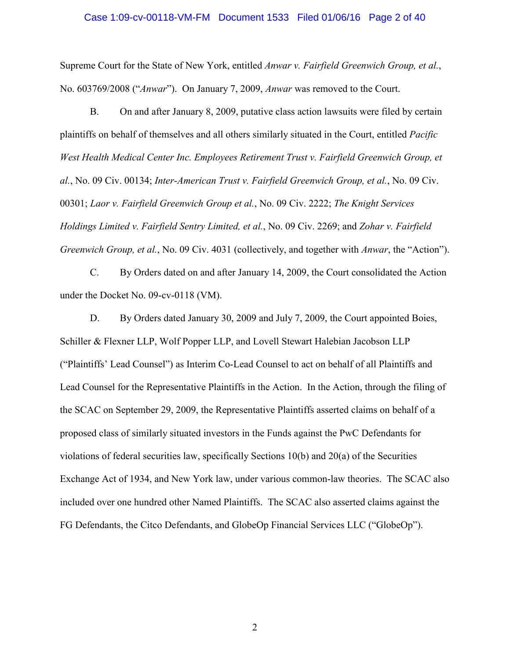### Case 1:09-cv-00118-VM-FM Document 1533 Filed 01/06/16 Page 2 of 40

Supreme Court for the State of New York, entitled *Anwar v. Fairfield Greenwich Group, et al.*, No. 603769/2008 ("*Anwar*"). On January 7, 2009, *Anwar* was removed to the Court.

B. On and after January 8, 2009, putative class action lawsuits were filed by certain plaintiffs on behalf of themselves and all others similarly situated in the Court, entitled *Pacific*  West Health Medical Center Inc. Employees Retirement Trust v. Fairfield Greenwich Group, et *al.*, No. 09 Civ. 00134; *Inter-American Trust v. Fairfield Greenwich Group, et al.*, No. 09 Civ. 00301; *Laor v. Fairfield Greenwich Group et al.*, No. 09 Civ. 2222; *The Knight Services Holdings Limited v. Fairfield Sentry Limited, et al.*, No. 09 Civ. 2269; and *Zohar v. Fairfield Greenwich Group, et al.*, No. 09 Civ. 4031 (collectively, and together with *Anwar*, the "Action").

C. By Orders dated on and after January 14, 2009, the Court consolidated the Action under the Docket No. 09-cv-0118 (VM).

D. By Orders dated January 30, 2009 and July 7, 2009, the Court appointed Boies, Schiller & Flexner LLP, Wolf Popper LLP, and Lovell Stewart Halebian Jacobson LLP ("Plaintiffs' Lead Counsel") as Interim Co-Lead Counsel to act on behalf of all Plaintiffs and Lead Counsel for the Representative Plaintiffs in the Action. In the Action, through the filing of the SCAC on September 29, 2009, the Representative Plaintiffs asserted claims on behalf of a proposed class of similarly situated investors in the Funds against the PwC Defendants for violations of federal securities law, specifically Sections 10(b) and 20(a) of the Securities Exchange Act of 1934, and New York law, under various common-law theories. The SCAC also included over one hundred other Named Plaintiffs. The SCAC also asserted claims against the FG Defendants, the Citco Defendants, and GlobeOp Financial Services LLC ("GlobeOp").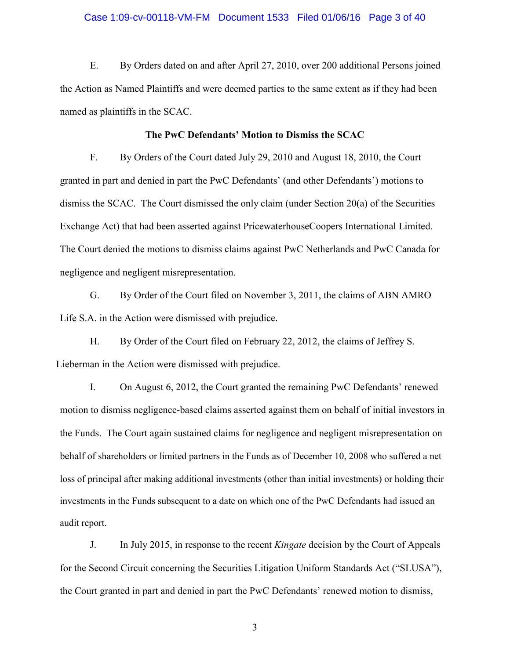### Case 1:09-cv-00118-VM-FM Document 1533 Filed 01/06/16 Page 3 of 40

E. By Orders dated on and after April 27, 2010, over 200 additional Persons joined the Action as Named Plaintiffs and were deemed parties to the same extent as if they had been named as plaintiffs in the SCAC.

### **The PwC Defendants' Motion to Dismiss the SCAC**

F. By Orders of the Court dated July 29, 2010 and August 18, 2010, the Court granted in part and denied in part the PwC Defendants' (and other Defendants') motions to dismiss the SCAC. The Court dismissed the only claim (under Section 20(a) of the Securities Exchange Act) that had been asserted against PricewaterhouseCoopers International Limited. The Court denied the motions to dismiss claims against PwC Netherlands and PwC Canada for negligence and negligent misrepresentation.

G. By Order of the Court filed on November 3, 2011, the claims of ABN AMRO Life S.A. in the Action were dismissed with prejudice.

H. By Order of the Court filed on February 22, 2012, the claims of Jeffrey S. Lieberman in the Action were dismissed with prejudice.

I. On August 6, 2012, the Court granted the remaining PwC Defendants' renewed motion to dismiss negligence-based claims asserted against them on behalf of initial investors in the Funds. The Court again sustained claims for negligence and negligent misrepresentation on behalf of shareholders or limited partners in the Funds as of December 10, 2008 who suffered a net loss of principal after making additional investments (other than initial investments) or holding their investments in the Funds subsequent to a date on which one of the PwC Defendants had issued an audit report.

J. In July 2015, in response to the recent *Kingate* decision by the Court of Appeals for the Second Circuit concerning the Securities Litigation Uniform Standards Act ("SLUSA"), the Court granted in part and denied in part the PwC Defendants' renewed motion to dismiss,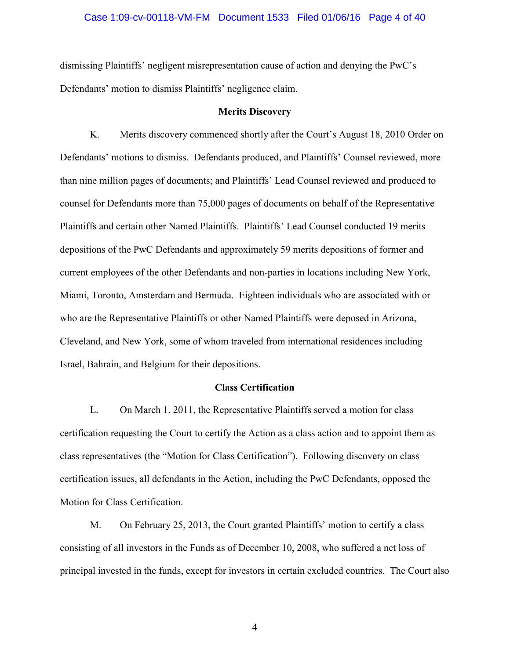#### Case 1:09-cv-00118-VM-FM Document 1533 Filed 01/06/16 Page 4 of 40

dismissing Plaintiffs' negligent misrepresentation cause of action and denying the PwC's Defendants' motion to dismiss Plaintiffs' negligence claim.

### **Merits Discovery**

K. Merits discovery commenced shortly after the Court's August 18, 2010 Order on Defendants' motions to dismiss. Defendants produced, and Plaintiffs' Counsel reviewed, more than nine million pages of documents; and Plaintiffs' Lead Counsel reviewed and produced to counsel for Defendants more than 75,000 pages of documents on behalf of the Representative Plaintiffs and certain other Named Plaintiffs. Plaintiffs' Lead Counsel conducted 19 merits depositions of the PwC Defendants and approximately 59 merits depositions of former and current employees of the other Defendants and non-parties in locations including New York, Miami, Toronto, Amsterdam and Bermuda. Eighteen individuals who are associated with or who are the Representative Plaintiffs or other Named Plaintiffs were deposed in Arizona, Cleveland, and New York, some of whom traveled from international residences including Israel, Bahrain, and Belgium for their depositions.

#### **Class Certification**

L. On March 1, 2011, the Representative Plaintiffs served a motion for class certification requesting the Court to certify the Action as a class action and to appoint them as class representatives (the "Motion for Class Certification"). Following discovery on class certification issues, all defendants in the Action, including the PwC Defendants, opposed the Motion for Class Certification.

M. On February 25, 2013, the Court granted Plaintiffs' motion to certify a class consisting of all investors in the Funds as of December 10, 2008, who suffered a net loss of principal invested in the funds, except for investors in certain excluded countries. The Court also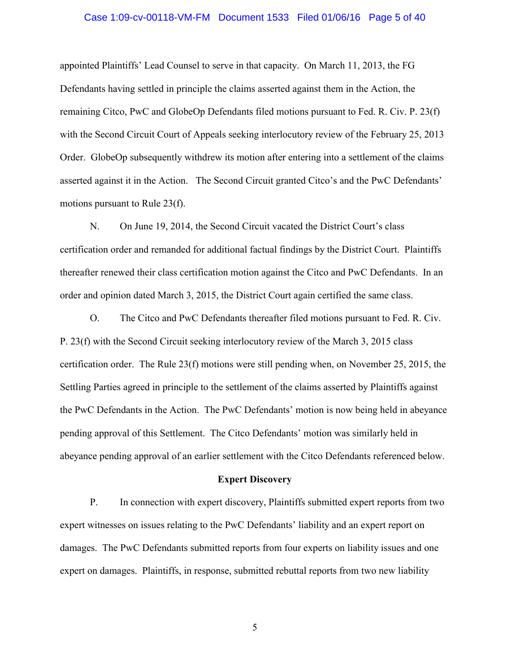### Case 1:09-cv-00118-VM-FM Document 1533 Filed 01/06/16 Page 5 of 40

appointed Plaintiffs' Lead Counsel to serve in that capacity. On March 11, 2013, the FG Defendants having settled in principle the claims asserted against them in the Action, the remaining Citco, PwC and GlobeOp Defendants filed motions pursuant to Fed. R. Civ. P. 23(f) with the Second Circuit Court of Appeals seeking interlocutory review of the February 25, 2013 Order. GlobeOp subsequently withdrew its motion after entering into a settlement of the claims asserted against it in the Action. The Second Circuit granted Citco's and the PwC Defendants' motions pursuant to Rule 23(f).

N. On June 19, 2014, the Second Circuit vacated the District Court's class certification order and remanded for additional factual findings by the District Court. Plaintiffs thereafter renewed their class certification motion against the Citco and PwC Defendants. In an order and opinion dated March 3, 2015, the District Court again certified the same class.

O. The Citco and PwC Defendants thereafter filed motions pursuant to Fed. R. Civ. P. 23(f) with the Second Circuit seeking interlocutory review of the March 3, 2015 class certification order. The Rule 23(f) motions were still pending when, on November 25, 2015, the Settling Parties agreed in principle to the settlement of the claims asserted by Plaintiffs against the PwC Defendants in the Action. The PwC Defendants' motion is now being held in abeyance pending approval of this Settlement. The Citco Defendants' motion was similarly held in abeyance pending approval of an earlier settlement with the Citco Defendants referenced below.

#### **Expert Discovery**

P. In connection with expert discovery, Plaintiffs submitted expert reports from two expert witnesses on issues relating to the PwC Defendants' liability and an expert report on damages. The PwC Defendants submitted reports from four experts on liability issues and one expert on damages. Plaintiffs, in response, submitted rebuttal reports from two new liability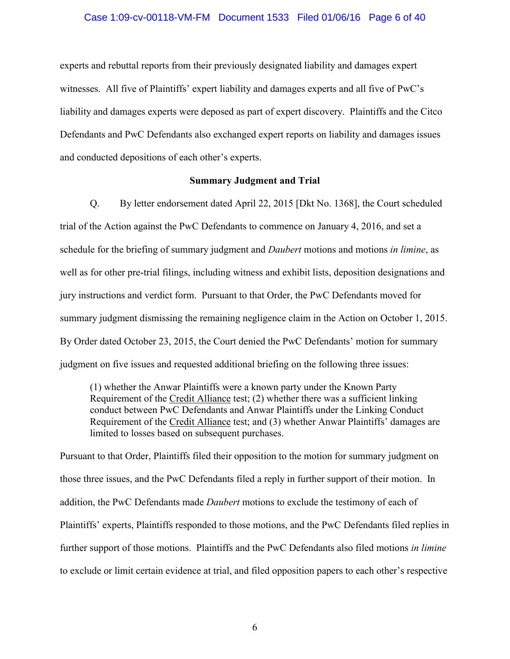## Case 1:09-cv-00118-VM-FM Document 1533 Filed 01/06/16 Page 6 of 40

experts and rebuttal reports from their previously designated liability and damages expert witnesses. All five of Plaintiffs' expert liability and damages experts and all five of PwC's liability and damages experts were deposed as part of expert discovery. Plaintiffs and the Citco Defendants and PwC Defendants also exchanged expert reports on liability and damages issues and conducted depositions of each other's experts.

## **Summary Judgment and Trial**

Q. By letter endorsement dated April 22, 2015 [Dkt No. 1368], the Court scheduled trial of the Action against the PwC Defendants to commence on January 4, 2016, and set a schedule for the briefing of summary judgment and *Daubert* motions and motions *in limine*, as well as for other pre-trial filings, including witness and exhibit lists, deposition designations and jury instructions and verdict form.Pursuant to that Order, the PwC Defendants moved for summary judgment dismissing the remaining negligence claim in the Action on October 1, 2015. By Order dated October 23, 2015, the Court denied the PwC Defendants' motion for summary judgment on five issues and requested additional briefing on the following three issues:

(1) whether the Anwar Plaintiffs were a known party under the Known Party Requirement of the Credit Alliance test; (2) whether there was a sufficient linking conduct between PwC Defendants and Anwar Plaintiffs under the Linking Conduct Requirement of the Credit Alliance test; and (3) whether Anwar Plaintiffs' damages are limited to losses based on subsequent purchases.

Pursuant to that Order, Plaintiffs filed their opposition to the motion for summary judgment on those three issues, and the PwC Defendants filed a reply in further support of their motion. In addition, the PwC Defendants made *Daubert* motions to exclude the testimony of each of Plaintiffs' experts, Plaintiffs responded to those motions, and the PwC Defendants filed replies in further support of those motions. Plaintiffs and the PwC Defendants also filed motions *in limine* to exclude or limit certain evidence at trial, and filed opposition papers to each other's respective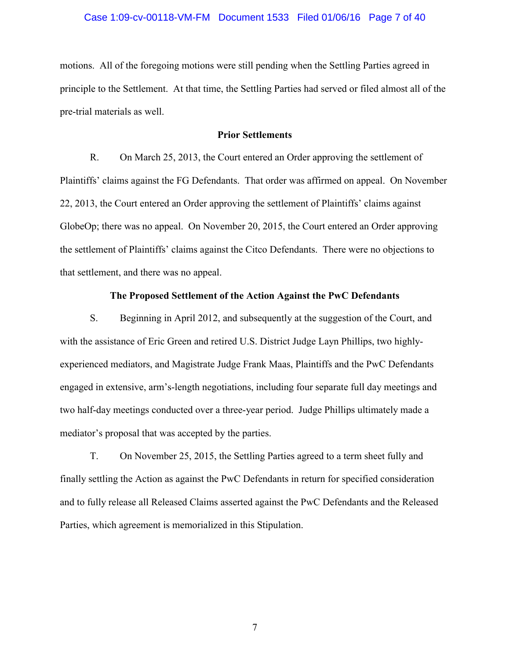# Case 1:09-cv-00118-VM-FM Document 1533 Filed 01/06/16 Page 7 of 40

motions. All of the foregoing motions were still pending when the Settling Parties agreed in principle to the Settlement. At that time, the Settling Parties had served or filed almost all of the pre-trial materials as well.

## **Prior Settlements**

R. On March 25, 2013, the Court entered an Order approving the settlement of Plaintiffs' claims against the FG Defendants. That order was affirmed on appeal. On November 22, 2013, the Court entered an Order approving the settlement of Plaintiffs' claims against GlobeOp; there was no appeal. On November 20, 2015, the Court entered an Order approving the settlement of Plaintiffs' claims against the Citco Defendants. There were no objections to that settlement, and there was no appeal.

## **The Proposed Settlement of the Action Against the PwC Defendants**

S. Beginning in April 2012, and subsequently at the suggestion of the Court, and with the assistance of Eric Green and retired U.S. District Judge Layn Phillips, two highlyexperienced mediators, and Magistrate Judge Frank Maas, Plaintiffs and the PwC Defendants engaged in extensive, arm's-length negotiations, including four separate full day meetings and two half-day meetings conducted over a three-year period. Judge Phillips ultimately made a mediator's proposal that was accepted by the parties.

T. On November 25, 2015, the Settling Parties agreed to a term sheet fully and finally settling the Action as against the PwC Defendants in return for specified consideration and to fully release all Released Claims asserted against the PwC Defendants and the Released Parties, which agreement is memorialized in this Stipulation.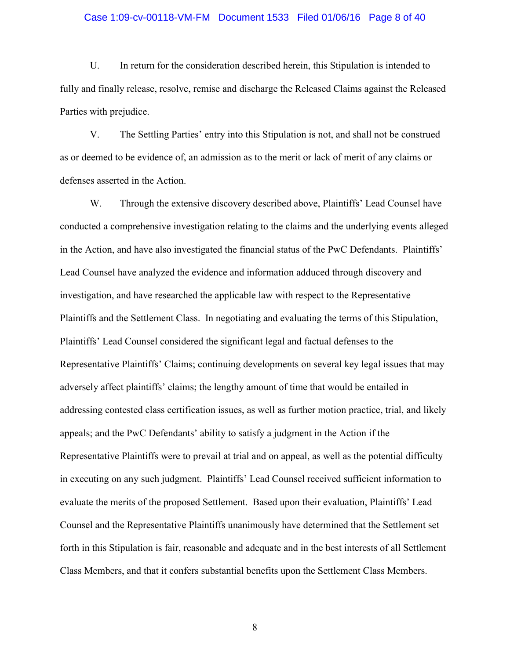### Case 1:09-cv-00118-VM-FM Document 1533 Filed 01/06/16 Page 8 of 40

U. In return for the consideration described herein, this Stipulation is intended to fully and finally release, resolve, remise and discharge the Released Claims against the Released Parties with prejudice.

V. The Settling Parties' entry into this Stipulation is not, and shall not be construed as or deemed to be evidence of, an admission as to the merit or lack of merit of any claims or defenses asserted in the Action.

W. Through the extensive discovery described above, Plaintiffs' Lead Counsel have conducted a comprehensive investigation relating to the claims and the underlying events alleged in the Action, and have also investigated the financial status of the PwC Defendants. Plaintiffs' Lead Counsel have analyzed the evidence and information adduced through discovery and investigation, and have researched the applicable law with respect to the Representative Plaintiffs and the Settlement Class. In negotiating and evaluating the terms of this Stipulation, Plaintiffs' Lead Counsel considered the significant legal and factual defenses to the Representative Plaintiffs' Claims; continuing developments on several key legal issues that may adversely affect plaintiffs' claims; the lengthy amount of time that would be entailed in addressing contested class certification issues, as well as further motion practice, trial, and likely appeals; and the PwC Defendants' ability to satisfy a judgment in the Action if the Representative Plaintiffs were to prevail at trial and on appeal, as well as the potential difficulty in executing on any such judgment. Plaintiffs' Lead Counsel received sufficient information to evaluate the merits of the proposed Settlement. Based upon their evaluation, Plaintiffs' Lead Counsel and the Representative Plaintiffs unanimously have determined that the Settlement set forth in this Stipulation is fair, reasonable and adequate and in the best interests of all Settlement Class Members, and that it confers substantial benefits upon the Settlement Class Members.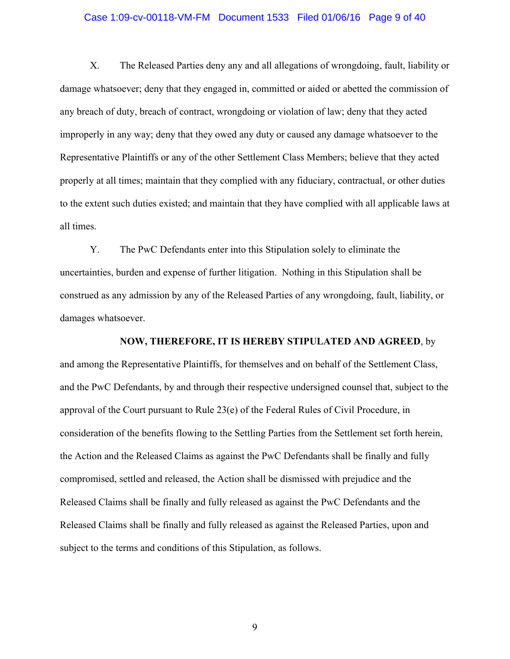### Case 1:09-cv-00118-VM-FM Document 1533 Filed 01/06/16 Page 9 of 40

X. The Released Parties deny any and all allegations of wrongdoing, fault, liability or damage whatsoever; deny that they engaged in, committed or aided or abetted the commission of any breach of duty, breach of contract, wrongdoing or violation of law; deny that they acted improperly in any way; deny that they owed any duty or caused any damage whatsoever to the Representative Plaintiffs or any of the other Settlement Class Members; believe that they acted properly at all times; maintain that they complied with any fiduciary, contractual, or other duties to the extent such duties existed; and maintain that they have complied with all applicable laws at all times.

Y. The PwC Defendants enter into this Stipulation solely to eliminate the uncertainties, burden and expense of further litigation. Nothing in this Stipulation shall be construed as any admission by any of the Released Parties of any wrongdoing, fault, liability, or damages whatsoever.

**NOW, THEREFORE, IT IS HEREBY STIPULATED AND AGREED**, by and among the Representative Plaintiffs, for themselves and on behalf of the Settlement Class, and the PwC Defendants, by and through their respective undersigned counsel that, subject to the approval of the Court pursuant to Rule 23(e) of the Federal Rules of Civil Procedure, in consideration of the benefits flowing to the Settling Parties from the Settlement set forth herein, the Action and the Released Claims as against the PwC Defendants shall be finally and fully compromised, settled and released, the Action shall be dismissed with prejudice and the Released Claims shall be finally and fully released as against the PwC Defendants and the Released Claims shall be finally and fully released as against the Released Parties, upon and subject to the terms and conditions of this Stipulation, as follows.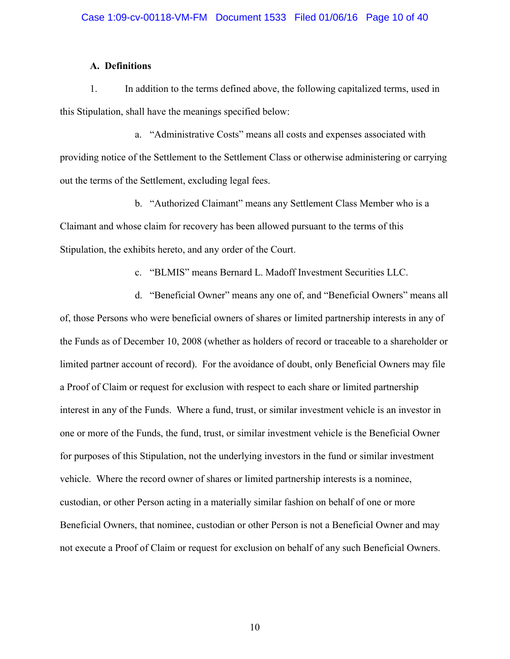## **A. Definitions**

1. In addition to the terms defined above, the following capitalized terms, used in this Stipulation, shall have the meanings specified below:

a. "Administrative Costs" means all costs and expenses associated with providing notice of the Settlement to the Settlement Class or otherwise administering or carrying out the terms of the Settlement, excluding legal fees.

b. "Authorized Claimant" means any Settlement Class Member who is a Claimant and whose claim for recovery has been allowed pursuant to the terms of this Stipulation, the exhibits hereto, and any order of the Court.

c. "BLMIS" means Bernard L. Madoff Investment Securities LLC.

d. "Beneficial Owner" means any one of, and "Beneficial Owners" means all of, those Persons who were beneficial owners of shares or limited partnership interests in any of the Funds as of December 10, 2008 (whether as holders of record or traceable to a shareholder or limited partner account of record). For the avoidance of doubt, only Beneficial Owners may file a Proof of Claim or request for exclusion with respect to each share or limited partnership interest in any of the Funds. Where a fund, trust, or similar investment vehicle is an investor in one or more of the Funds, the fund, trust, or similar investment vehicle is the Beneficial Owner for purposes of this Stipulation, not the underlying investors in the fund or similar investment vehicle. Where the record owner of shares or limited partnership interests is a nominee, custodian, or other Person acting in a materially similar fashion on behalf of one or more Beneficial Owners, that nominee, custodian or other Person is not a Beneficial Owner and may not execute a Proof of Claim or request for exclusion on behalf of any such Beneficial Owners.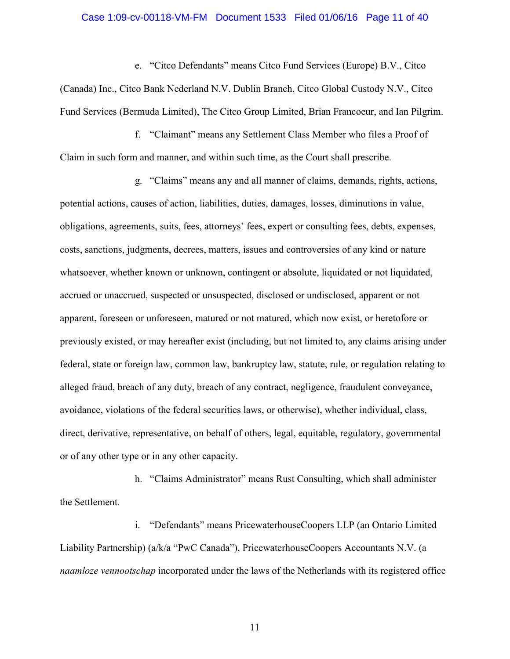### Case 1:09-cv-00118-VM-FM Document 1533 Filed 01/06/16 Page 11 of 40

e. "Citco Defendants" means Citco Fund Services (Europe) B.V., Citco (Canada) Inc., Citco Bank Nederland N.V. Dublin Branch, Citco Global Custody N.V., Citco Fund Services (Bermuda Limited), The Citco Group Limited, Brian Francoeur, and Ian Pilgrim.

f. "Claimant" means any Settlement Class Member who files a Proof of Claim in such form and manner, and within such time, as the Court shall prescribe.

g. "Claims" means any and all manner of claims, demands, rights, actions, potential actions, causes of action, liabilities, duties, damages, losses, diminutions in value, obligations, agreements, suits, fees, attorneys' fees, expert or consulting fees, debts, expenses, costs, sanctions, judgments, decrees, matters, issues and controversies of any kind or nature whatsoever, whether known or unknown, contingent or absolute, liquidated or not liquidated, accrued or unaccrued, suspected or unsuspected, disclosed or undisclosed, apparent or not apparent, foreseen or unforeseen, matured or not matured, which now exist, or heretofore or previously existed, or may hereafter exist (including, but not limited to, any claims arising under federal, state or foreign law, common law, bankruptcy law, statute, rule, or regulation relating to alleged fraud, breach of any duty, breach of any contract, negligence, fraudulent conveyance, avoidance, violations of the federal securities laws, or otherwise), whether individual, class, direct, derivative, representative, on behalf of others, legal, equitable, regulatory, governmental or of any other type or in any other capacity.

h. "Claims Administrator" means Rust Consulting, which shall administer the Settlement.

i. "Defendants" means PricewaterhouseCoopers LLP (an Ontario Limited Liability Partnership) (a/k/a "PwC Canada"), PricewaterhouseCoopers Accountants N.V. (a *naamloze vennootschap* incorporated under the laws of the Netherlands with its registered office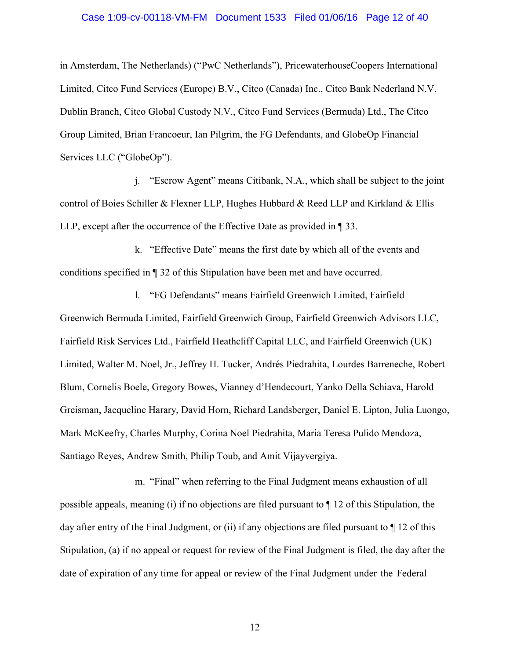### Case 1:09-cv-00118-VM-FM Document 1533 Filed 01/06/16 Page 12 of 40

in Amsterdam, The Netherlands) ("PwC Netherlands"), PricewaterhouseCoopers International Limited, Citco Fund Services (Europe) B.V., Citco (Canada) Inc., Citco Bank Nederland N.V. Dublin Branch, Citco Global Custody N.V., Citco Fund Services (Bermuda) Ltd., The Citco Group Limited, Brian Francoeur, Ian Pilgrim, the FG Defendants, and GlobeOp Financial Services LLC ("GlobeOp").

j. "Escrow Agent" means Citibank, N.A., which shall be subject to the joint control of Boies Schiller & Flexner LLP, Hughes Hubbard & Reed LLP and Kirkland & Ellis LLP, except after the occurrence of the Effective Date as provided in ¶ 33.

k. "Effective Date" means the first date by which all of the events and conditions specified in ¶ 32 of this Stipulation have been met and have occurred.

l. "FG Defendants" means Fairfield Greenwich Limited, Fairfield Greenwich Bermuda Limited, Fairfield Greenwich Group, Fairfield Greenwich Advisors LLC, Fairfield Risk Services Ltd., Fairfield Heathcliff Capital LLC, and Fairfield Greenwich (UK) Limited, Walter M. Noel, Jr., Jeffrey H. Tucker, Andrés Piedrahita, Lourdes Barreneche, Robert Blum, Cornelis Boele, Gregory Bowes, Vianney d'Hendecourt, Yanko Della Schiava, Harold Greisman, Jacqueline Harary, David Horn, Richard Landsberger, Daniel E. Lipton, Julia Luongo, Mark McKeefry, Charles Murphy, Corina Noel Piedrahita, Maria Teresa Pulido Mendoza, Santiago Reyes, Andrew Smith, Philip Toub, and Amit Vijayvergiya.

m. "Final" when referring to the Final Judgment means exhaustion of all possible appeals, meaning (i) if no objections are filed pursuant to ¶ 12 of this Stipulation, the day after entry of the Final Judgment, or (ii) if any objections are filed pursuant to  $\P$  12 of this Stipulation, (a) if no appeal or request for review of the Final Judgment is filed, the day after the date of expiration of any time for appeal or review of the Final Judgment under the Federal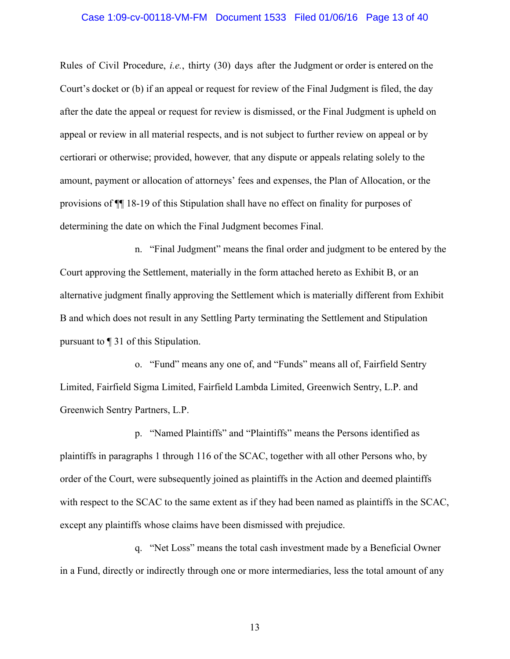### Case 1:09-cv-00118-VM-FM Document 1533 Filed 01/06/16 Page 13 of 40

Rules of Civil Procedure, *i.e.*, thirty (30) days after the Judgment or order is entered on the Court's docket or (b) if an appeal or request for review of the Final Judgment is filed, the day after the date the appeal or request for review is dismissed, or the Final Judgment is upheld on appeal or review in all material respects, and is not subject to further review on appeal or by certiorari or otherwise; provided, however*,* that any dispute or appeals relating solely to the amount, payment or allocation of attorneys' fees and expenses, the Plan of Allocation, or the provisions of ¶¶ 18-19 of this Stipulation shall have no effect on finality for purposes of determining the date on which the Final Judgment becomes Final.

n. "Final Judgment" means the final order and judgment to be entered by the Court approving the Settlement, materially in the form attached hereto as Exhibit B, or an alternative judgment finally approving the Settlement which is materially different from Exhibit B and which does not result in any Settling Party terminating the Settlement and Stipulation pursuant to ¶ 31 of this Stipulation.

o. "Fund" means any one of, and "Funds" means all of, Fairfield Sentry Limited, Fairfield Sigma Limited, Fairfield Lambda Limited, Greenwich Sentry, L.P. and Greenwich Sentry Partners, L.P.

p. "Named Plaintiffs" and "Plaintiffs" means the Persons identified as plaintiffs in paragraphs 1 through 116 of the SCAC, together with all other Persons who, by order of the Court, were subsequently joined as plaintiffs in the Action and deemed plaintiffs with respect to the SCAC to the same extent as if they had been named as plaintiffs in the SCAC, except any plaintiffs whose claims have been dismissed with prejudice.

q. "Net Loss" means the total cash investment made by a Beneficial Owner in a Fund, directly or indirectly through one or more intermediaries, less the total amount of any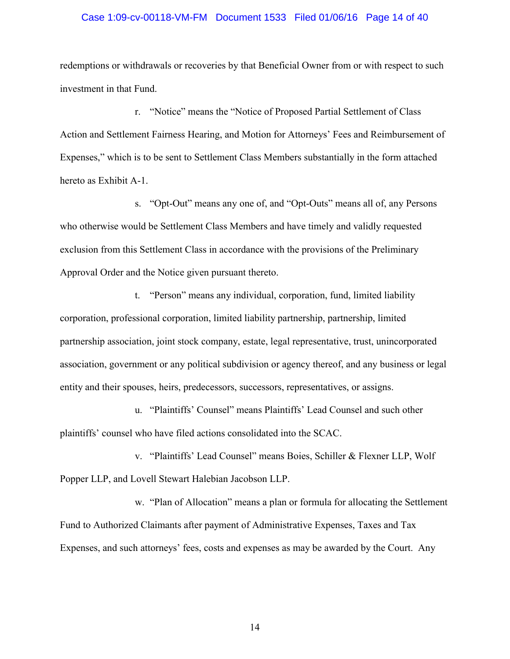### Case 1:09-cv-00118-VM-FM Document 1533 Filed 01/06/16 Page 14 of 40

redemptions or withdrawals or recoveries by that Beneficial Owner from or with respect to such investment in that Fund.

r. "Notice" means the "Notice of Proposed Partial Settlement of Class Action and Settlement Fairness Hearing, and Motion for Attorneys' Fees and Reimbursement of Expenses," which is to be sent to Settlement Class Members substantially in the form attached hereto as Exhibit A-1.

s. "Opt-Out" means any one of, and "Opt-Outs" means all of, any Persons who otherwise would be Settlement Class Members and have timely and validly requested exclusion from this Settlement Class in accordance with the provisions of the Preliminary Approval Order and the Notice given pursuant thereto.

t. "Person" means any individual, corporation, fund, limited liability corporation, professional corporation, limited liability partnership, partnership, limited partnership association, joint stock company, estate, legal representative, trust, unincorporated association, government or any political subdivision or agency thereof, and any business or legal entity and their spouses, heirs, predecessors, successors, representatives, or assigns.

u. "Plaintiffs' Counsel" means Plaintiffs' Lead Counsel and such other plaintiffs' counsel who have filed actions consolidated into the SCAC.

v. "Plaintiffs' Lead Counsel" means Boies, Schiller & Flexner LLP, Wolf Popper LLP, and Lovell Stewart Halebian Jacobson LLP.

w. "Plan of Allocation" means a plan or formula for allocating the Settlement Fund to Authorized Claimants after payment of Administrative Expenses, Taxes and Tax Expenses, and such attorneys' fees, costs and expenses as may be awarded by the Court. Any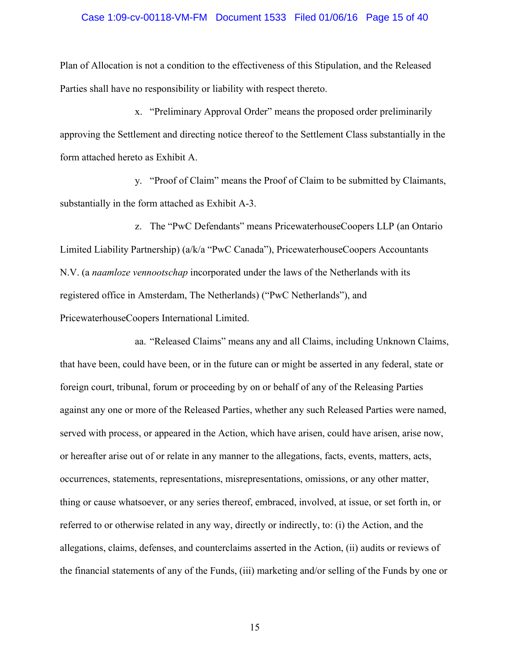### Case 1:09-cv-00118-VM-FM Document 1533 Filed 01/06/16 Page 15 of 40

Plan of Allocation is not a condition to the effectiveness of this Stipulation, and the Released Parties shall have no responsibility or liability with respect thereto.

x. "Preliminary Approval Order" means the proposed order preliminarily approving the Settlement and directing notice thereof to the Settlement Class substantially in the form attached hereto as Exhibit A.

y. "Proof of Claim" means the Proof of Claim to be submitted by Claimants, substantially in the form attached as Exhibit A-3.

z. The "PwC Defendants" means PricewaterhouseCoopers LLP (an Ontario Limited Liability Partnership) (a/k/a "PwC Canada"), PricewaterhouseCoopers Accountants N.V. (a *naamloze vennootschap* incorporated under the laws of the Netherlands with its registered office in Amsterdam, The Netherlands) ("PwC Netherlands"), and PricewaterhouseCoopers International Limited.

aa. "Released Claims" means any and all Claims, including Unknown Claims, that have been, could have been, or in the future can or might be asserted in any federal, state or foreign court, tribunal, forum or proceeding by on or behalf of any of the Releasing Parties against any one or more of the Released Parties, whether any such Released Parties were named, served with process, or appeared in the Action, which have arisen, could have arisen, arise now, or hereafter arise out of or relate in any manner to the allegations, facts, events, matters, acts, occurrences, statements, representations, misrepresentations, omissions, or any other matter, thing or cause whatsoever, or any series thereof, embraced, involved, at issue, or set forth in, or referred to or otherwise related in any way, directly or indirectly, to: (i) the Action, and the allegations, claims, defenses, and counterclaims asserted in the Action, (ii) audits or reviews of the financial statements of any of the Funds, (iii) marketing and/or selling of the Funds by one or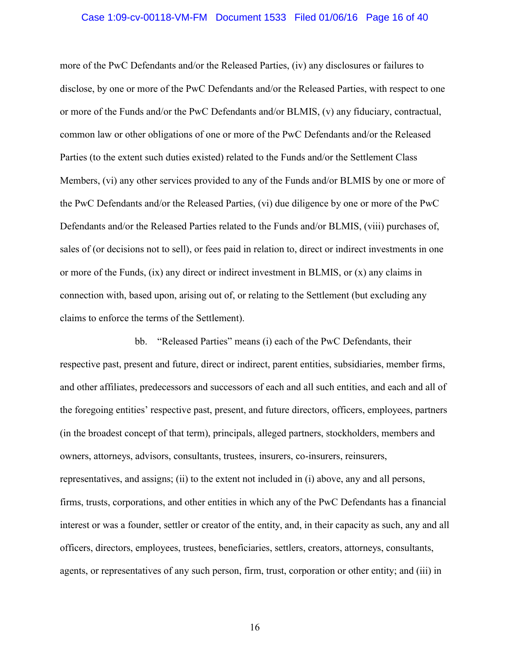#### Case 1:09-cv-00118-VM-FM Document 1533 Filed 01/06/16 Page 16 of 40

more of the PwC Defendants and/or the Released Parties, (iv) any disclosures or failures to disclose, by one or more of the PwC Defendants and/or the Released Parties, with respect to one or more of the Funds and/or the PwC Defendants and/or BLMIS, (v) any fiduciary, contractual, common law or other obligations of one or more of the PwC Defendants and/or the Released Parties (to the extent such duties existed) related to the Funds and/or the Settlement Class Members, (vi) any other services provided to any of the Funds and/or BLMIS by one or more of the PwC Defendants and/or the Released Parties, (vi) due diligence by one or more of the PwC Defendants and/or the Released Parties related to the Funds and/or BLMIS, (viii) purchases of, sales of (or decisions not to sell), or fees paid in relation to, direct or indirect investments in one or more of the Funds, (ix) any direct or indirect investment in BLMIS, or (x) any claims in connection with, based upon, arising out of, or relating to the Settlement (but excluding any claims to enforce the terms of the Settlement).

bb. "Released Parties" means (i) each of the PwC Defendants, their respective past, present and future, direct or indirect, parent entities, subsidiaries, member firms, and other affiliates, predecessors and successors of each and all such entities, and each and all of the foregoing entities' respective past, present, and future directors, officers, employees, partners (in the broadest concept of that term), principals, alleged partners, stockholders, members and owners, attorneys, advisors, consultants, trustees, insurers, co-insurers, reinsurers, representatives, and assigns; (ii) to the extent not included in (i) above, any and all persons, firms, trusts, corporations, and other entities in which any of the PwC Defendants has a financial interest or was a founder, settler or creator of the entity, and, in their capacity as such, any and all officers, directors, employees, trustees, beneficiaries, settlers, creators, attorneys, consultants, agents, or representatives of any such person, firm, trust, corporation or other entity; and (iii) in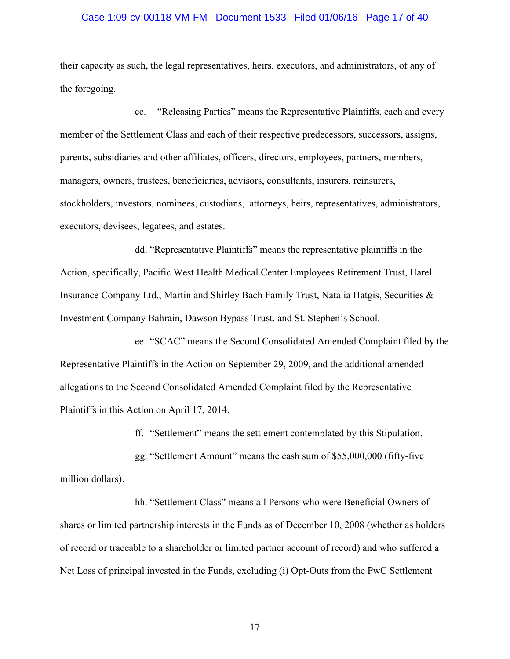### Case 1:09-cv-00118-VM-FM Document 1533 Filed 01/06/16 Page 17 of 40

their capacity as such, the legal representatives, heirs, executors, and administrators, of any of the foregoing.

cc. "Releasing Parties" means the Representative Plaintiffs, each and every member of the Settlement Class and each of their respective predecessors, successors, assigns, parents, subsidiaries and other affiliates, officers, directors, employees, partners, members, managers, owners, trustees, beneficiaries, advisors, consultants, insurers, reinsurers, stockholders, investors, nominees, custodians, attorneys, heirs, representatives, administrators, executors, devisees, legatees, and estates.

dd. "Representative Plaintiffs" means the representative plaintiffs in the Action, specifically, Pacific West Health Medical Center Employees Retirement Trust, Harel Insurance Company Ltd., Martin and Shirley Bach Family Trust, Natalia Hatgis, Securities & Investment Company Bahrain, Dawson Bypass Trust, and St. Stephen's School.

ee. "SCAC" means the Second Consolidated Amended Complaint filed by the Representative Plaintiffs in the Action on September 29, 2009, and the additional amended allegations to the Second Consolidated Amended Complaint filed by the Representative Plaintiffs in this Action on April 17, 2014.

ff. "Settlement" means the settlement contemplated by this Stipulation.

gg. "Settlement Amount" means the cash sum of \$55,000,000 (fifty-five million dollars).

hh. "Settlement Class" means all Persons who were Beneficial Owners of shares or limited partnership interests in the Funds as of December 10, 2008 (whether as holders of record or traceable to a shareholder or limited partner account of record) and who suffered a Net Loss of principal invested in the Funds, excluding (i) Opt-Outs from the PwC Settlement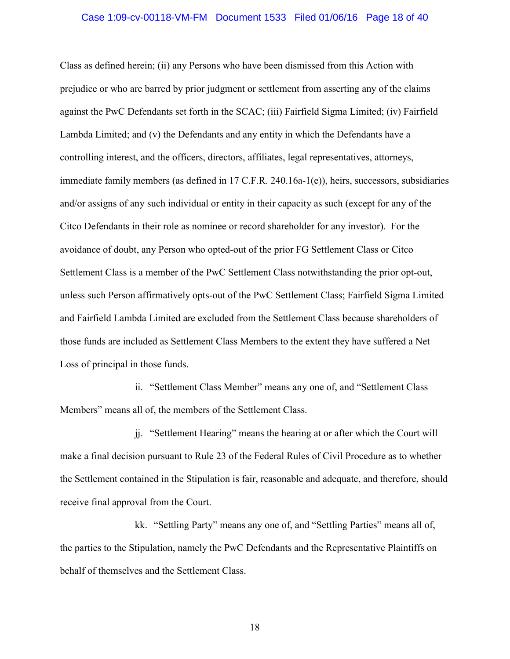### Case 1:09-cv-00118-VM-FM Document 1533 Filed 01/06/16 Page 18 of 40

Class as defined herein; (ii) any Persons who have been dismissed from this Action with prejudice or who are barred by prior judgment or settlement from asserting any of the claims against the PwC Defendants set forth in the SCAC; (iii) Fairfield Sigma Limited; (iv) Fairfield Lambda Limited; and (v) the Defendants and any entity in which the Defendants have a controlling interest, and the officers, directors, affiliates, legal representatives, attorneys, immediate family members (as defined in 17 C.F.R. 240.16a-1(e)), heirs, successors, subsidiaries and/or assigns of any such individual or entity in their capacity as such (except for any of the Citco Defendants in their role as nominee or record shareholder for any investor). For the avoidance of doubt, any Person who opted-out of the prior FG Settlement Class or Citco Settlement Class is a member of the PwC Settlement Class notwithstanding the prior opt-out, unless such Person affirmatively opts-out of the PwC Settlement Class; Fairfield Sigma Limited and Fairfield Lambda Limited are excluded from the Settlement Class because shareholders of those funds are included as Settlement Class Members to the extent they have suffered a Net Loss of principal in those funds.

ii. "Settlement Class Member" means any one of, and "Settlement Class Members" means all of, the members of the Settlement Class.

jj. "Settlement Hearing" means the hearing at or after which the Court will make a final decision pursuant to Rule 23 of the Federal Rules of Civil Procedure as to whether the Settlement contained in the Stipulation is fair, reasonable and adequate, and therefore, should receive final approval from the Court.

kk. "Settling Party" means any one of, and "Settling Parties" means all of, the parties to the Stipulation, namely the PwC Defendants and the Representative Plaintiffs on behalf of themselves and the Settlement Class.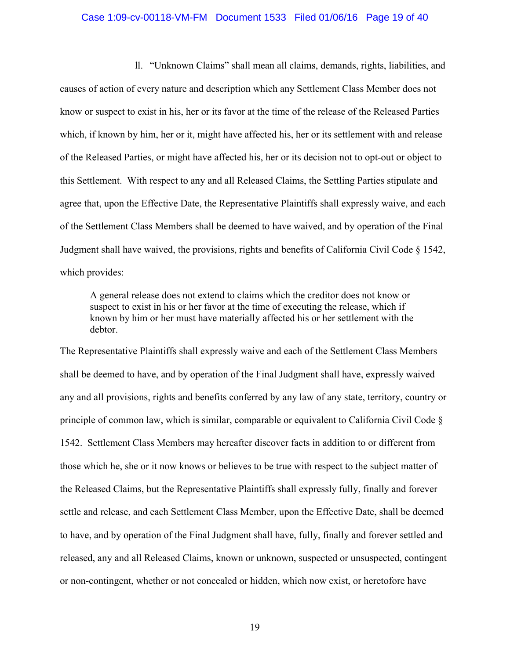#### Case 1:09-cv-00118-VM-FM Document 1533 Filed 01/06/16 Page 19 of 40

ll. "Unknown Claims" shall mean all claims, demands, rights, liabilities, and causes of action of every nature and description which any Settlement Class Member does not know or suspect to exist in his, her or its favor at the time of the release of the Released Parties which, if known by him, her or it, might have affected his, her or its settlement with and release of the Released Parties, or might have affected his, her or its decision not to opt-out or object to this Settlement. With respect to any and all Released Claims, the Settling Parties stipulate and agree that, upon the Effective Date, the Representative Plaintiffs shall expressly waive, and each of the Settlement Class Members shall be deemed to have waived, and by operation of the Final Judgment shall have waived, the provisions, rights and benefits of California Civil Code § 1542, which provides:

A general release does not extend to claims which the creditor does not know or suspect to exist in his or her favor at the time of executing the release, which if known by him or her must have materially affected his or her settlement with the debtor.

The Representative Plaintiffs shall expressly waive and each of the Settlement Class Members shall be deemed to have, and by operation of the Final Judgment shall have, expressly waived any and all provisions, rights and benefits conferred by any law of any state, territory, country or principle of common law, which is similar, comparable or equivalent to California Civil Code § 1542. Settlement Class Members may hereafter discover facts in addition to or different from those which he, she or it now knows or believes to be true with respect to the subject matter of the Released Claims, but the Representative Plaintiffs shall expressly fully, finally and forever settle and release, and each Settlement Class Member, upon the Effective Date, shall be deemed to have, and by operation of the Final Judgment shall have, fully, finally and forever settled and released, any and all Released Claims, known or unknown, suspected or unsuspected, contingent or non-contingent, whether or not concealed or hidden, which now exist, or heretofore have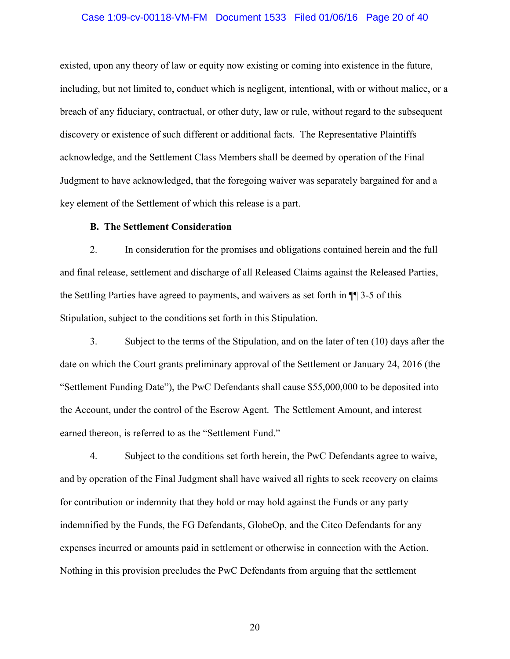### Case 1:09-cv-00118-VM-FM Document 1533 Filed 01/06/16 Page 20 of 40

existed, upon any theory of law or equity now existing or coming into existence in the future, including, but not limited to, conduct which is negligent, intentional, with or without malice, or a breach of any fiduciary, contractual, or other duty, law or rule, without regard to the subsequent discovery or existence of such different or additional facts. The Representative Plaintiffs acknowledge, and the Settlement Class Members shall be deemed by operation of the Final Judgment to have acknowledged, that the foregoing waiver was separately bargained for and a key element of the Settlement of which this release is a part.

## **B. The Settlement Consideration**

2. In consideration for the promises and obligations contained herein and the full and final release, settlement and discharge of all Released Claims against the Released Parties, the Settling Parties have agreed to payments, and waivers as set forth in ¶¶ 3-5 of this Stipulation, subject to the conditions set forth in this Stipulation.

3. Subject to the terms of the Stipulation, and on the later of ten (10) days after the date on which the Court grants preliminary approval of the Settlement or January 24, 2016 (the "Settlement Funding Date"), the PwC Defendants shall cause \$55,000,000 to be deposited into the Account, under the control of the Escrow Agent. The Settlement Amount, and interest earned thereon, is referred to as the "Settlement Fund."

4. Subject to the conditions set forth herein, the PwC Defendants agree to waive, and by operation of the Final Judgment shall have waived all rights to seek recovery on claims for contribution or indemnity that they hold or may hold against the Funds or any party indemnified by the Funds, the FG Defendants, GlobeOp, and the Citco Defendants for any expenses incurred or amounts paid in settlement or otherwise in connection with the Action. Nothing in this provision precludes the PwC Defendants from arguing that the settlement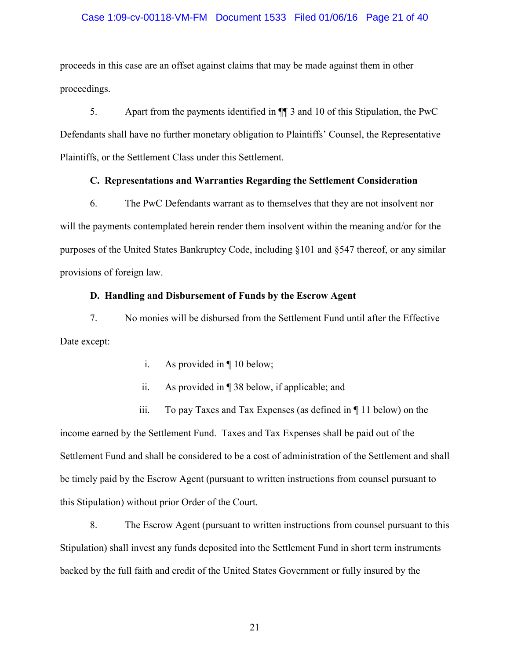## Case 1:09-cv-00118-VM-FM Document 1533 Filed 01/06/16 Page 21 of 40

proceeds in this case are an offset against claims that may be made against them in other proceedings.

5. Apart from the payments identified in ¶¶ 3 and 10 of this Stipulation, the PwC Defendants shall have no further monetary obligation to Plaintiffs' Counsel, the Representative Plaintiffs, or the Settlement Class under this Settlement.

## **C. Representations and Warranties Regarding the Settlement Consideration**

6. The PwC Defendants warrant as to themselves that they are not insolvent nor will the payments contemplated herein render them insolvent within the meaning and/or for the purposes of the United States Bankruptcy Code, including §101 and §547 thereof, or any similar provisions of foreign law.

## **D. Handling and Disbursement of Funds by the Escrow Agent**

7. No monies will be disbursed from the Settlement Fund until after the Effective Date except:

- i. As provided in ¶ 10 below;
- ii. As provided in ¶ 38 below, if applicable; and

iii. To pay Taxes and Tax Expenses (as defined in ¶ 11 below) on the income earned by the Settlement Fund. Taxes and Tax Expenses shall be paid out of the Settlement Fund and shall be considered to be a cost of administration of the Settlement and shall be timely paid by the Escrow Agent (pursuant to written instructions from counsel pursuant to this Stipulation) without prior Order of the Court.

8. The Escrow Agent (pursuant to written instructions from counsel pursuant to this Stipulation) shall invest any funds deposited into the Settlement Fund in short term instruments backed by the full faith and credit of the United States Government or fully insured by the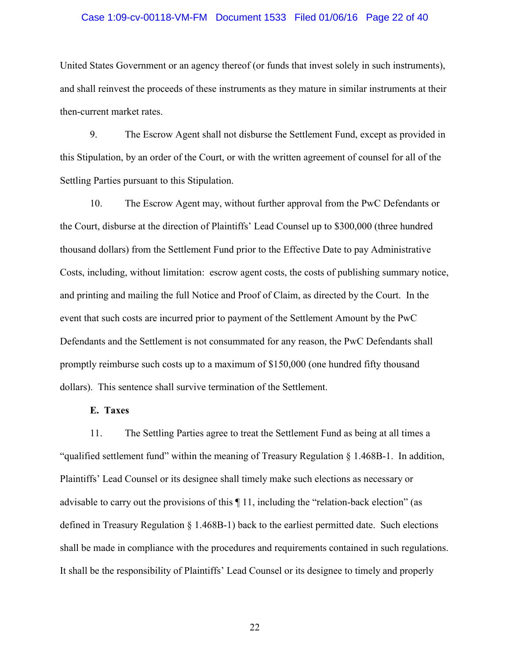### Case 1:09-cv-00118-VM-FM Document 1533 Filed 01/06/16 Page 22 of 40

United States Government or an agency thereof (or funds that invest solely in such instruments), and shall reinvest the proceeds of these instruments as they mature in similar instruments at their then-current market rates.

9. The Escrow Agent shall not disburse the Settlement Fund, except as provided in this Stipulation, by an order of the Court, or with the written agreement of counsel for all of the Settling Parties pursuant to this Stipulation.

10. The Escrow Agent may, without further approval from the PwC Defendants or the Court, disburse at the direction of Plaintiffs' Lead Counsel up to \$300,000 (three hundred thousand dollars) from the Settlement Fund prior to the Effective Date to pay Administrative Costs, including, without limitation: escrow agent costs, the costs of publishing summary notice, and printing and mailing the full Notice and Proof of Claim, as directed by the Court. In the event that such costs are incurred prior to payment of the Settlement Amount by the PwC Defendants and the Settlement is not consummated for any reason, the PwC Defendants shall promptly reimburse such costs up to a maximum of \$150,000 (one hundred fifty thousand dollars). This sentence shall survive termination of the Settlement.

## **E. Taxes**

11. The Settling Parties agree to treat the Settlement Fund as being at all times a "qualified settlement fund" within the meaning of Treasury Regulation § 1.468B-1. In addition, Plaintiffs' Lead Counsel or its designee shall timely make such elections as necessary or advisable to carry out the provisions of this ¶ 11, including the "relation-back election" (as defined in Treasury Regulation § 1.468B-1) back to the earliest permitted date. Such elections shall be made in compliance with the procedures and requirements contained in such regulations. It shall be the responsibility of Plaintiffs' Lead Counsel or its designee to timely and properly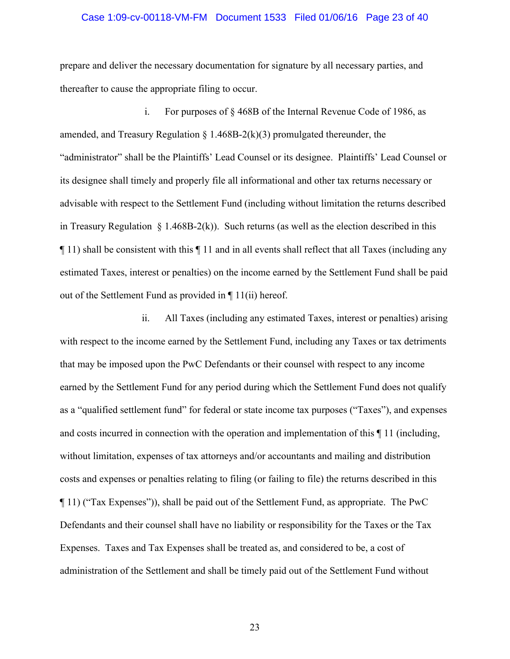#### Case 1:09-cv-00118-VM-FM Document 1533 Filed 01/06/16 Page 23 of 40

prepare and deliver the necessary documentation for signature by all necessary parties, and thereafter to cause the appropriate filing to occur.

i. For purposes of § 468B of the Internal Revenue Code of 1986, as amended, and Treasury Regulation  $\S 1.468B-2(k)(3)$  promulgated thereunder, the "administrator" shall be the Plaintiffs' Lead Counsel or its designee. Plaintiffs' Lead Counsel or its designee shall timely and properly file all informational and other tax returns necessary or advisable with respect to the Settlement Fund (including without limitation the returns described in Treasury Regulation  $\S 1.468B-2(k)$ ). Such returns (as well as the election described in this ¶ 11) shall be consistent with this ¶ 11 and in all events shall reflect that all Taxes (including any estimated Taxes, interest or penalties) on the income earned by the Settlement Fund shall be paid out of the Settlement Fund as provided in ¶ 11(ii) hereof.

ii. All Taxes (including any estimated Taxes, interest or penalties) arising with respect to the income earned by the Settlement Fund, including any Taxes or tax detriments that may be imposed upon the PwC Defendants or their counsel with respect to any income earned by the Settlement Fund for any period during which the Settlement Fund does not qualify as a "qualified settlement fund" for federal or state income tax purposes ("Taxes"), and expenses and costs incurred in connection with the operation and implementation of this ¶ 11 (including, without limitation, expenses of tax attorneys and/or accountants and mailing and distribution costs and expenses or penalties relating to filing (or failing to file) the returns described in this ¶ 11) ("Tax Expenses")), shall be paid out of the Settlement Fund, as appropriate. The PwC Defendants and their counsel shall have no liability or responsibility for the Taxes or the Tax Expenses. Taxes and Tax Expenses shall be treated as, and considered to be, a cost of administration of the Settlement and shall be timely paid out of the Settlement Fund without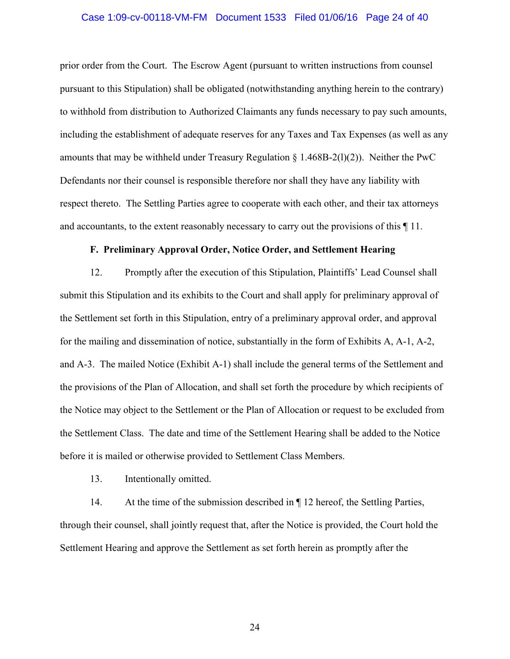#### Case 1:09-cv-00118-VM-FM Document 1533 Filed 01/06/16 Page 24 of 40

prior order from the Court. The Escrow Agent (pursuant to written instructions from counsel pursuant to this Stipulation) shall be obligated (notwithstanding anything herein to the contrary) to withhold from distribution to Authorized Claimants any funds necessary to pay such amounts, including the establishment of adequate reserves for any Taxes and Tax Expenses (as well as any amounts that may be withheld under Treasury Regulation  $\S$  1.468B-2(l)(2)). Neither the PwC Defendants nor their counsel is responsible therefore nor shall they have any liability with respect thereto. The Settling Parties agree to cooperate with each other, and their tax attorneys and accountants, to the extent reasonably necessary to carry out the provisions of this ¶ 11.

## **F. Preliminary Approval Order, Notice Order, and Settlement Hearing**

12. Promptly after the execution of this Stipulation, Plaintiffs' Lead Counsel shall submit this Stipulation and its exhibits to the Court and shall apply for preliminary approval of the Settlement set forth in this Stipulation, entry of a preliminary approval order, and approval for the mailing and dissemination of notice, substantially in the form of Exhibits A, A-1, A-2, and A-3. The mailed Notice (Exhibit A-1) shall include the general terms of the Settlement and the provisions of the Plan of Allocation, and shall set forth the procedure by which recipients of the Notice may object to the Settlement or the Plan of Allocation or request to be excluded from the Settlement Class. The date and time of the Settlement Hearing shall be added to the Notice before it is mailed or otherwise provided to Settlement Class Members.

13. Intentionally omitted.

14. At the time of the submission described in ¶ 12 hereof, the Settling Parties, through their counsel, shall jointly request that, after the Notice is provided, the Court hold the Settlement Hearing and approve the Settlement as set forth herein as promptly after the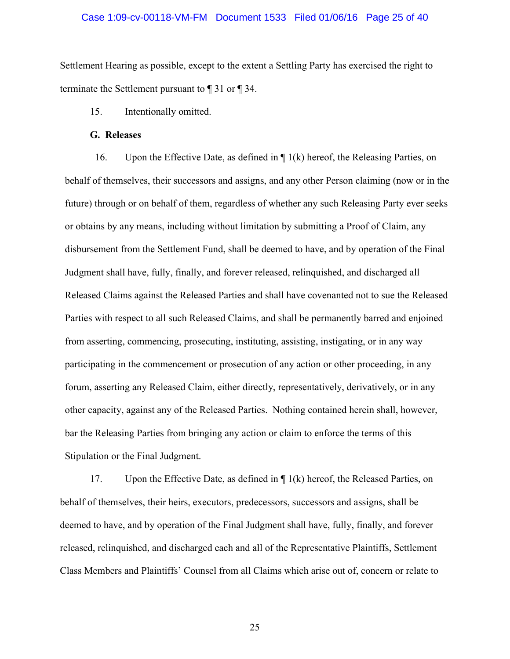### Case 1:09-cv-00118-VM-FM Document 1533 Filed 01/06/16 Page 25 of 40

Settlement Hearing as possible, except to the extent a Settling Party has exercised the right to terminate the Settlement pursuant to ¶ 31 or ¶ 34.

15. Intentionally omitted.

## **G. Releases**

16. Upon the Effective Date, as defined in ¶ 1(k) hereof, the Releasing Parties, on behalf of themselves, their successors and assigns, and any other Person claiming (now or in the future) through or on behalf of them, regardless of whether any such Releasing Party ever seeks or obtains by any means, including without limitation by submitting a Proof of Claim, any disbursement from the Settlement Fund, shall be deemed to have, and by operation of the Final Judgment shall have, fully, finally, and forever released, relinquished, and discharged all Released Claims against the Released Parties and shall have covenanted not to sue the Released Parties with respect to all such Released Claims, and shall be permanently barred and enjoined from asserting, commencing, prosecuting, instituting, assisting, instigating, or in any way participating in the commencement or prosecution of any action or other proceeding, in any forum, asserting any Released Claim, either directly, representatively, derivatively, or in any other capacity, against any of the Released Parties. Nothing contained herein shall, however, bar the Releasing Parties from bringing any action or claim to enforce the terms of this Stipulation or the Final Judgment.

17. Upon the Effective Date, as defined in  $\P$  1(k) hereof, the Released Parties, on behalf of themselves, their heirs, executors, predecessors, successors and assigns, shall be deemed to have, and by operation of the Final Judgment shall have, fully, finally, and forever released, relinquished, and discharged each and all of the Representative Plaintiffs, Settlement Class Members and Plaintiffs' Counsel from all Claims which arise out of, concern or relate to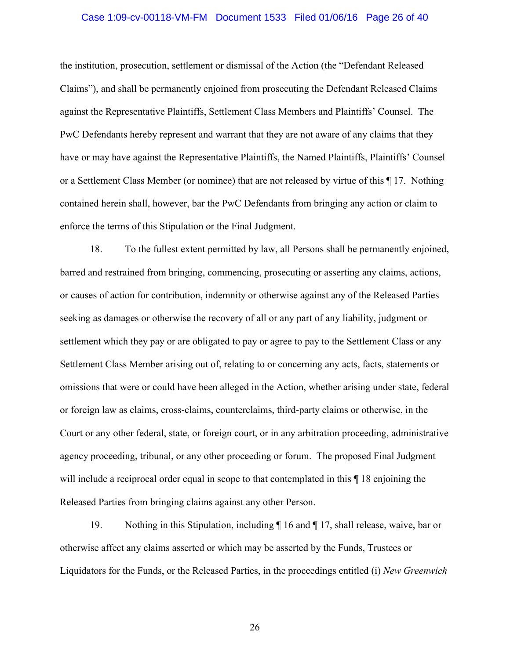### Case 1:09-cv-00118-VM-FM Document 1533 Filed 01/06/16 Page 26 of 40

the institution, prosecution, settlement or dismissal of the Action (the "Defendant Released Claims"), and shall be permanently enjoined from prosecuting the Defendant Released Claims against the Representative Plaintiffs, Settlement Class Members and Plaintiffs' Counsel. The PwC Defendants hereby represent and warrant that they are not aware of any claims that they have or may have against the Representative Plaintiffs, the Named Plaintiffs, Plaintiffs' Counsel or a Settlement Class Member (or nominee) that are not released by virtue of this ¶ 17. Nothing contained herein shall, however, bar the PwC Defendants from bringing any action or claim to enforce the terms of this Stipulation or the Final Judgment.

18. To the fullest extent permitted by law, all Persons shall be permanently enjoined, barred and restrained from bringing, commencing, prosecuting or asserting any claims, actions, or causes of action for contribution, indemnity or otherwise against any of the Released Parties seeking as damages or otherwise the recovery of all or any part of any liability, judgment or settlement which they pay or are obligated to pay or agree to pay to the Settlement Class or any Settlement Class Member arising out of, relating to or concerning any acts, facts, statements or omissions that were or could have been alleged in the Action, whether arising under state, federal or foreign law as claims, cross-claims, counterclaims, third-party claims or otherwise, in the Court or any other federal, state, or foreign court, or in any arbitration proceeding, administrative agency proceeding, tribunal, or any other proceeding or forum. The proposed Final Judgment will include a reciprocal order equal in scope to that contemplated in this  $\P$  18 enjoining the Released Parties from bringing claims against any other Person.

19. Nothing in this Stipulation, including ¶ 16 and ¶ 17, shall release, waive, bar or otherwise affect any claims asserted or which may be asserted by the Funds, Trustees or Liquidators for the Funds, or the Released Parties, in the proceedings entitled (i) *New Greenwich*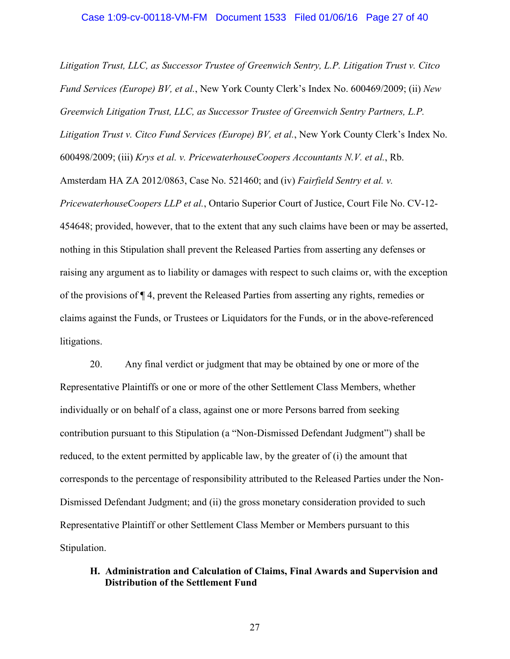*Litigation Trust, LLC, as Successor Trustee of Greenwich Sentry, L.P. Litigation Trust v. Citco Fund Services (Europe) BV, et al.*, New York County Clerk's Index No. 600469/2009; (ii) *New Greenwich Litigation Trust, LLC, as Successor Trustee of Greenwich Sentry Partners, L.P. Litigation Trust v. Citco Fund Services (Europe) BV, et al.*, New York County Clerk's Index No. 600498/2009; (iii) *Krys et al. v. PricewaterhouseCoopers Accountants N.V. et al.*, Rb. Amsterdam HA ZA 2012/0863, Case No. 521460; and (iv) *Fairfield Sentry et al. v. PricewaterhouseCoopers LLP et al.*, Ontario Superior Court of Justice, Court File No. CV-12- 454648; provided, however, that to the extent that any such claims have been or may be asserted, nothing in this Stipulation shall prevent the Released Parties from asserting any defenses or raising any argument as to liability or damages with respect to such claims or, with the exception of the provisions of ¶ 4, prevent the Released Parties from asserting any rights, remedies or claims against the Funds, or Trustees or Liquidators for the Funds, or in the above-referenced litigations.

20. Any final verdict or judgment that may be obtained by one or more of the Representative Plaintiffs or one or more of the other Settlement Class Members, whether individually or on behalf of a class, against one or more Persons barred from seeking contribution pursuant to this Stipulation (a "Non-Dismissed Defendant Judgment") shall be reduced, to the extent permitted by applicable law, by the greater of (i) the amount that corresponds to the percentage of responsibility attributed to the Released Parties under the Non-Dismissed Defendant Judgment; and (ii) the gross monetary consideration provided to such Representative Plaintiff or other Settlement Class Member or Members pursuant to this Stipulation.

# **H. Administration and Calculation of Claims, Final Awards and Supervision and Distribution of the Settlement Fund**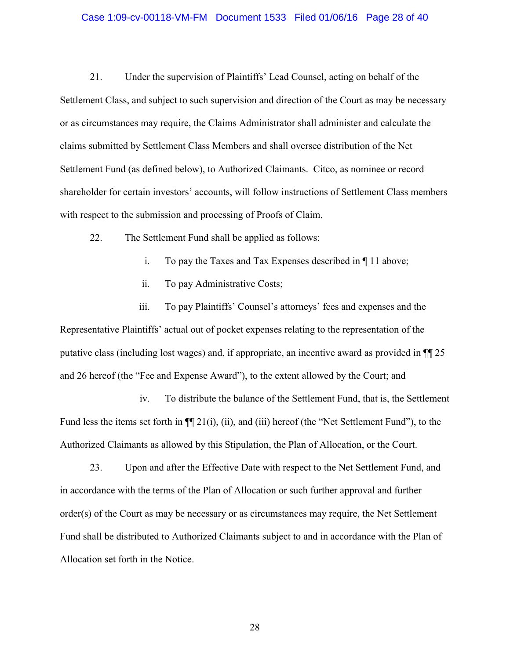### Case 1:09-cv-00118-VM-FM Document 1533 Filed 01/06/16 Page 28 of 40

21. Under the supervision of Plaintiffs' Lead Counsel, acting on behalf of the Settlement Class, and subject to such supervision and direction of the Court as may be necessary or as circumstances may require, the Claims Administrator shall administer and calculate the claims submitted by Settlement Class Members and shall oversee distribution of the Net Settlement Fund (as defined below), to Authorized Claimants. Citco, as nominee or record shareholder for certain investors' accounts, will follow instructions of Settlement Class members with respect to the submission and processing of Proofs of Claim.

22. The Settlement Fund shall be applied as follows:

- i. To pay the Taxes and Tax Expenses described in ¶ 11 above;
- ii. To pay Administrative Costs;

iii. To pay Plaintiffs' Counsel's attorneys' fees and expenses and the Representative Plaintiffs' actual out of pocket expenses relating to the representation of the putative class (including lost wages) and, if appropriate, an incentive award as provided in ¶¶ 25 and 26 hereof (the "Fee and Expense Award"), to the extent allowed by the Court; and

iv. To distribute the balance of the Settlement Fund, that is, the Settlement Fund less the items set forth in  $\P$ [[ 21(i), (ii), and (iii) hereof (the "Net Settlement Fund"), to the Authorized Claimants as allowed by this Stipulation, the Plan of Allocation, or the Court.

23. Upon and after the Effective Date with respect to the Net Settlement Fund, and in accordance with the terms of the Plan of Allocation or such further approval and further order(s) of the Court as may be necessary or as circumstances may require, the Net Settlement Fund shall be distributed to Authorized Claimants subject to and in accordance with the Plan of Allocation set forth in the Notice.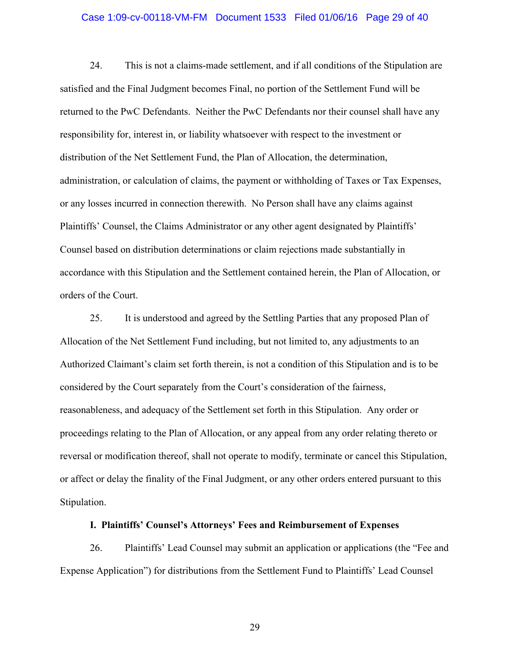### Case 1:09-cv-00118-VM-FM Document 1533 Filed 01/06/16 Page 29 of 40

24. This is not a claims-made settlement, and if all conditions of the Stipulation are satisfied and the Final Judgment becomes Final, no portion of the Settlement Fund will be returned to the PwC Defendants. Neither the PwC Defendants nor their counsel shall have any responsibility for, interest in, or liability whatsoever with respect to the investment or distribution of the Net Settlement Fund, the Plan of Allocation, the determination, administration, or calculation of claims, the payment or withholding of Taxes or Tax Expenses, or any losses incurred in connection therewith. No Person shall have any claims against Plaintiffs' Counsel, the Claims Administrator or any other agent designated by Plaintiffs' Counsel based on distribution determinations or claim rejections made substantially in accordance with this Stipulation and the Settlement contained herein, the Plan of Allocation, or orders of the Court.

25. It is understood and agreed by the Settling Parties that any proposed Plan of Allocation of the Net Settlement Fund including, but not limited to, any adjustments to an Authorized Claimant's claim set forth therein, is not a condition of this Stipulation and is to be considered by the Court separately from the Court's consideration of the fairness, reasonableness, and adequacy of the Settlement set forth in this Stipulation. Any order or proceedings relating to the Plan of Allocation, or any appeal from any order relating thereto or reversal or modification thereof, shall not operate to modify, terminate or cancel this Stipulation, or affect or delay the finality of the Final Judgment, or any other orders entered pursuant to this Stipulation.

## **I. Plaintiffs' Counsel's Attorneys' Fees and Reimbursement of Expenses**

26. Plaintiffs' Lead Counsel may submit an application or applications (the "Fee and Expense Application") for distributions from the Settlement Fund to Plaintiffs' Lead Counsel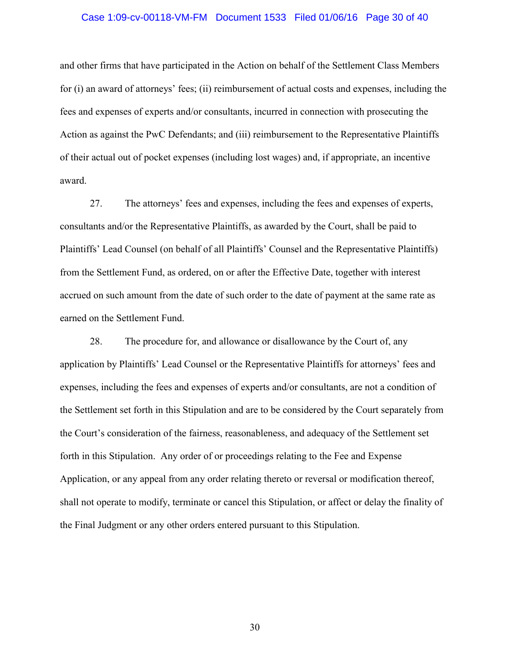#### Case 1:09-cv-00118-VM-FM Document 1533 Filed 01/06/16 Page 30 of 40

and other firms that have participated in the Action on behalf of the Settlement Class Members for (i) an award of attorneys' fees; (ii) reimbursement of actual costs and expenses, including the fees and expenses of experts and/or consultants, incurred in connection with prosecuting the Action as against the PwC Defendants; and (iii) reimbursement to the Representative Plaintiffs of their actual out of pocket expenses (including lost wages) and, if appropriate, an incentive award.

27. The attorneys' fees and expenses, including the fees and expenses of experts, consultants and/or the Representative Plaintiffs, as awarded by the Court, shall be paid to Plaintiffs' Lead Counsel (on behalf of all Plaintiffs' Counsel and the Representative Plaintiffs) from the Settlement Fund, as ordered, on or after the Effective Date, together with interest accrued on such amount from the date of such order to the date of payment at the same rate as earned on the Settlement Fund.

28. The procedure for, and allowance or disallowance by the Court of, any application by Plaintiffs' Lead Counsel or the Representative Plaintiffs for attorneys' fees and expenses, including the fees and expenses of experts and/or consultants, are not a condition of the Settlement set forth in this Stipulation and are to be considered by the Court separately from the Court's consideration of the fairness, reasonableness, and adequacy of the Settlement set forth in this Stipulation. Any order of or proceedings relating to the Fee and Expense Application, or any appeal from any order relating thereto or reversal or modification thereof, shall not operate to modify, terminate or cancel this Stipulation, or affect or delay the finality of the Final Judgment or any other orders entered pursuant to this Stipulation.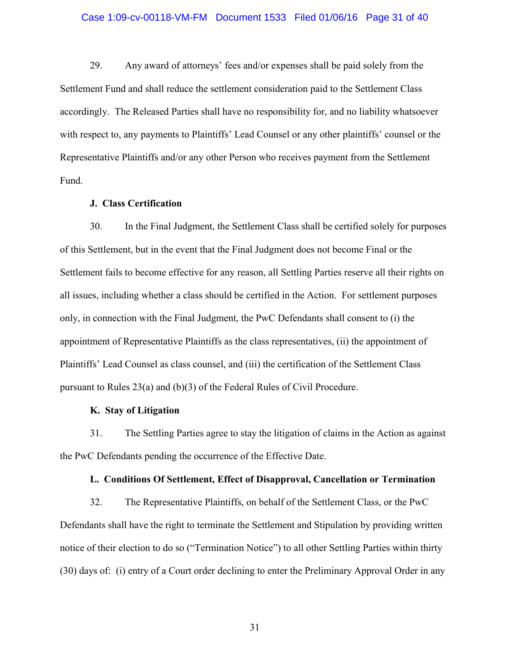### Case 1:09-cv-00118-VM-FM Document 1533 Filed 01/06/16 Page 31 of 40

29. Any award of attorneys' fees and/or expenses shall be paid solely from the Settlement Fund and shall reduce the settlement consideration paid to the Settlement Class accordingly. The Released Parties shall have no responsibility for, and no liability whatsoever with respect to, any payments to Plaintiffs' Lead Counsel or any other plaintiffs' counsel or the Representative Plaintiffs and/or any other Person who receives payment from the Settlement Fund.

# **J. Class Certification**

30. In the Final Judgment, the Settlement Class shall be certified solely for purposes of this Settlement, but in the event that the Final Judgment does not become Final or the Settlement fails to become effective for any reason, all Settling Parties reserve all their rights on all issues, including whether a class should be certified in the Action. For settlement purposes only, in connection with the Final Judgment, the PwC Defendants shall consent to (i) the appointment of Representative Plaintiffs as the class representatives, (ii) the appointment of Plaintiffs' Lead Counsel as class counsel, and (iii) the certification of the Settlement Class pursuant to Rules 23(a) and (b)(3) of the Federal Rules of Civil Procedure.

## **K. Stay of Litigation**

31. The Settling Parties agree to stay the litigation of claims in the Action as against the PwC Defendants pending the occurrence of the Effective Date.

## **L. Conditions Of Settlement, Effect of Disapproval, Cancellation or Termination**

32. The Representative Plaintiffs, on behalf of the Settlement Class, or the PwC Defendants shall have the right to terminate the Settlement and Stipulation by providing written notice of their election to do so ("Termination Notice") to all other Settling Parties within thirty (30) days of: (i) entry of a Court order declining to enter the Preliminary Approval Order in any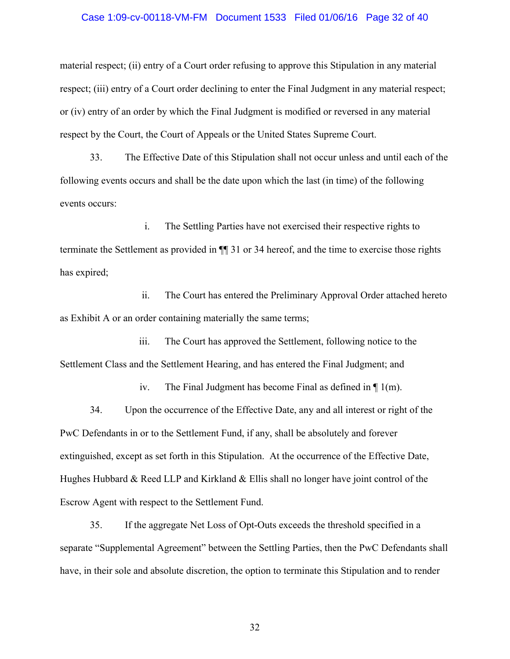### Case 1:09-cv-00118-VM-FM Document 1533 Filed 01/06/16 Page 32 of 40

material respect; (ii) entry of a Court order refusing to approve this Stipulation in any material respect; (iii) entry of a Court order declining to enter the Final Judgment in any material respect; or (iv) entry of an order by which the Final Judgment is modified or reversed in any material respect by the Court, the Court of Appeals or the United States Supreme Court.

33. The Effective Date of this Stipulation shall not occur unless and until each of the following events occurs and shall be the date upon which the last (in time) of the following events occurs:

i. The Settling Parties have not exercised their respective rights to terminate the Settlement as provided in ¶¶ 31 or 34 hereof, and the time to exercise those rights has expired;

ii. The Court has entered the Preliminary Approval Order attached hereto as Exhibit A or an order containing materially the same terms;

iii. The Court has approved the Settlement, following notice to the Settlement Class and the Settlement Hearing, and has entered the Final Judgment; and

iv. The Final Judgment has become Final as defined in ¶ 1(m).

34. Upon the occurrence of the Effective Date, any and all interest or right of the PwC Defendants in or to the Settlement Fund, if any, shall be absolutely and forever extinguished, except as set forth in this Stipulation. At the occurrence of the Effective Date, Hughes Hubbard & Reed LLP and Kirkland  $\&$  Ellis shall no longer have joint control of the Escrow Agent with respect to the Settlement Fund.

35. If the aggregate Net Loss of Opt-Outs exceeds the threshold specified in a separate "Supplemental Agreement" between the Settling Parties, then the PwC Defendants shall have, in their sole and absolute discretion, the option to terminate this Stipulation and to render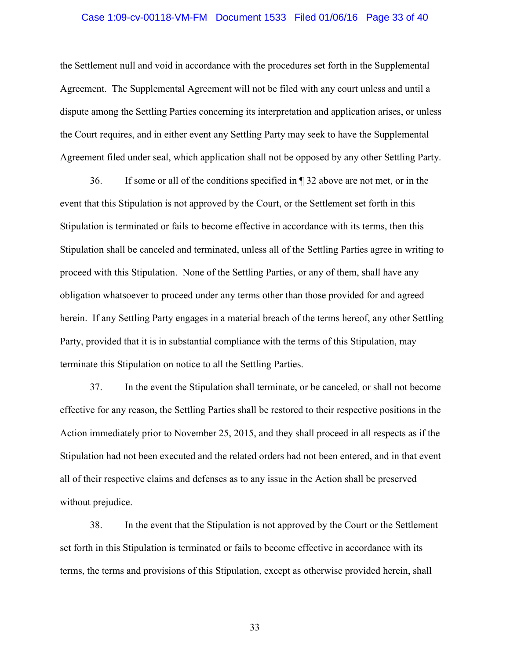### Case 1:09-cv-00118-VM-FM Document 1533 Filed 01/06/16 Page 33 of 40

the Settlement null and void in accordance with the procedures set forth in the Supplemental Agreement. The Supplemental Agreement will not be filed with any court unless and until a dispute among the Settling Parties concerning its interpretation and application arises, or unless the Court requires, and in either event any Settling Party may seek to have the Supplemental Agreement filed under seal, which application shall not be opposed by any other Settling Party.

36. If some or all of the conditions specified in ¶ 32 above are not met, or in the event that this Stipulation is not approved by the Court, or the Settlement set forth in this Stipulation is terminated or fails to become effective in accordance with its terms, then this Stipulation shall be canceled and terminated, unless all of the Settling Parties agree in writing to proceed with this Stipulation. None of the Settling Parties, or any of them, shall have any obligation whatsoever to proceed under any terms other than those provided for and agreed herein. If any Settling Party engages in a material breach of the terms hereof, any other Settling Party, provided that it is in substantial compliance with the terms of this Stipulation, may terminate this Stipulation on notice to all the Settling Parties.

37. In the event the Stipulation shall terminate, or be canceled, or shall not become effective for any reason, the Settling Parties shall be restored to their respective positions in the Action immediately prior to November 25, 2015, and they shall proceed in all respects as if the Stipulation had not been executed and the related orders had not been entered, and in that event all of their respective claims and defenses as to any issue in the Action shall be preserved without prejudice.

38. In the event that the Stipulation is not approved by the Court or the Settlement set forth in this Stipulation is terminated or fails to become effective in accordance with its terms, the terms and provisions of this Stipulation, except as otherwise provided herein, shall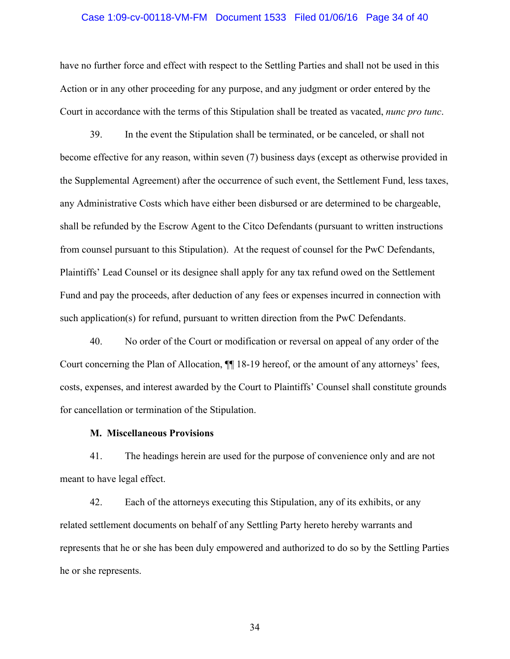### Case 1:09-cv-00118-VM-FM Document 1533 Filed 01/06/16 Page 34 of 40

have no further force and effect with respect to the Settling Parties and shall not be used in this Action or in any other proceeding for any purpose, and any judgment or order entered by the Court in accordance with the terms of this Stipulation shall be treated as vacated, *nunc pro tunc*.

39. In the event the Stipulation shall be terminated, or be canceled, or shall not become effective for any reason, within seven (7) business days (except as otherwise provided in the Supplemental Agreement) after the occurrence of such event, the Settlement Fund, less taxes, any Administrative Costs which have either been disbursed or are determined to be chargeable, shall be refunded by the Escrow Agent to the Citco Defendants (pursuant to written instructions from counsel pursuant to this Stipulation). At the request of counsel for the PwC Defendants, Plaintiffs' Lead Counsel or its designee shall apply for any tax refund owed on the Settlement Fund and pay the proceeds, after deduction of any fees or expenses incurred in connection with such application(s) for refund, pursuant to written direction from the PwC Defendants.

40. No order of the Court or modification or reversal on appeal of any order of the Court concerning the Plan of Allocation, ¶¶ 18-19 hereof, or the amount of any attorneys' fees, costs, expenses, and interest awarded by the Court to Plaintiffs' Counsel shall constitute grounds for cancellation or termination of the Stipulation.

## **M. Miscellaneous Provisions**

41. The headings herein are used for the purpose of convenience only and are not meant to have legal effect.

42. Each of the attorneys executing this Stipulation, any of its exhibits, or any related settlement documents on behalf of any Settling Party hereto hereby warrants and represents that he or she has been duly empowered and authorized to do so by the Settling Parties he or she represents.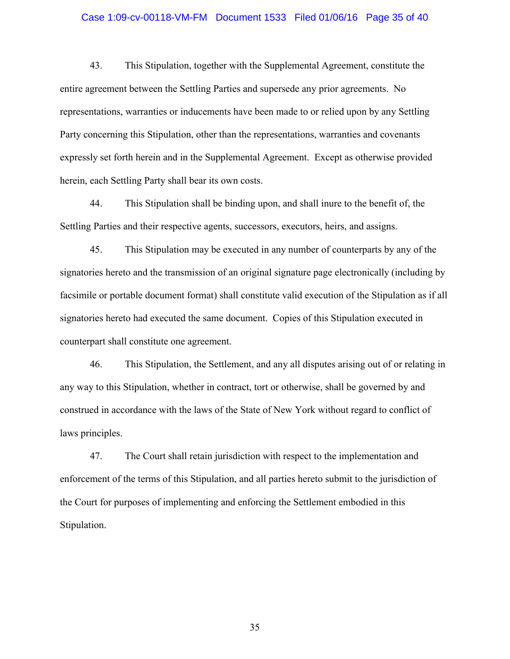### Case 1:09-cv-00118-VM-FM Document 1533 Filed 01/06/16 Page 35 of 40

43. This Stipulation, together with the Supplemental Agreement, constitute the entire agreement between the Settling Parties and supersede any prior agreements. No representations, warranties or inducements have been made to or relied upon by any Settling Party concerning this Stipulation, other than the representations, warranties and covenants expressly set forth herein and in the Supplemental Agreement. Except as otherwise provided herein, each Settling Party shall bear its own costs.

44. This Stipulation shall be binding upon, and shall inure to the benefit of, the Settling Parties and their respective agents, successors, executors, heirs, and assigns.

45. This Stipulation may be executed in any number of counterparts by any of the signatories hereto and the transmission of an original signature page electronically (including by facsimile or portable document format) shall constitute valid execution of the Stipulation as if all signatories hereto had executed the same document. Copies of this Stipulation executed in counterpart shall constitute one agreement.

46. This Stipulation, the Settlement, and any all disputes arising out of or relating in any way to this Stipulation, whether in contract, tort or otherwise, shall be governed by and construed in accordance with the laws of the State of New York without regard to conflict of laws principles.

47. The Court shall retain jurisdiction with respect to the implementation and enforcement of the terms of this Stipulation, and all parties hereto submit to the jurisdiction of the Court for purposes of implementing and enforcing the Settlement embodied in this Stipulation.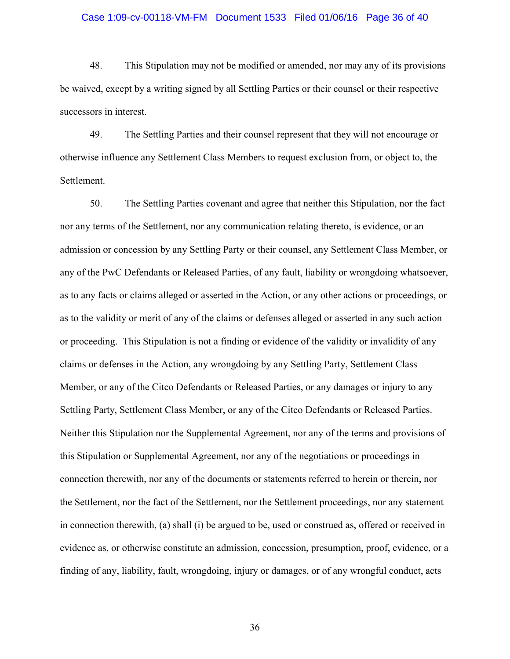#### Case 1:09-cv-00118-VM-FM Document 1533 Filed 01/06/16 Page 36 of 40

48. This Stipulation may not be modified or amended, nor may any of its provisions be waived, except by a writing signed by all Settling Parties or their counsel or their respective successors in interest.

49. The Settling Parties and their counsel represent that they will not encourage or otherwise influence any Settlement Class Members to request exclusion from, or object to, the Settlement.

50. The Settling Parties covenant and agree that neither this Stipulation, nor the fact nor any terms of the Settlement, nor any communication relating thereto, is evidence, or an admission or concession by any Settling Party or their counsel, any Settlement Class Member, or any of the PwC Defendants or Released Parties, of any fault, liability or wrongdoing whatsoever, as to any facts or claims alleged or asserted in the Action, or any other actions or proceedings, or as to the validity or merit of any of the claims or defenses alleged or asserted in any such action or proceeding. This Stipulation is not a finding or evidence of the validity or invalidity of any claims or defenses in the Action, any wrongdoing by any Settling Party, Settlement Class Member, or any of the Citco Defendants or Released Parties, or any damages or injury to any Settling Party, Settlement Class Member, or any of the Citco Defendants or Released Parties. Neither this Stipulation nor the Supplemental Agreement, nor any of the terms and provisions of this Stipulation or Supplemental Agreement, nor any of the negotiations or proceedings in connection therewith, nor any of the documents or statements referred to herein or therein, nor the Settlement, nor the fact of the Settlement, nor the Settlement proceedings, nor any statement in connection therewith, (a) shall (i) be argued to be, used or construed as, offered or received in evidence as, or otherwise constitute an admission, concession, presumption, proof, evidence, or a finding of any, liability, fault, wrongdoing, injury or damages, or of any wrongful conduct, acts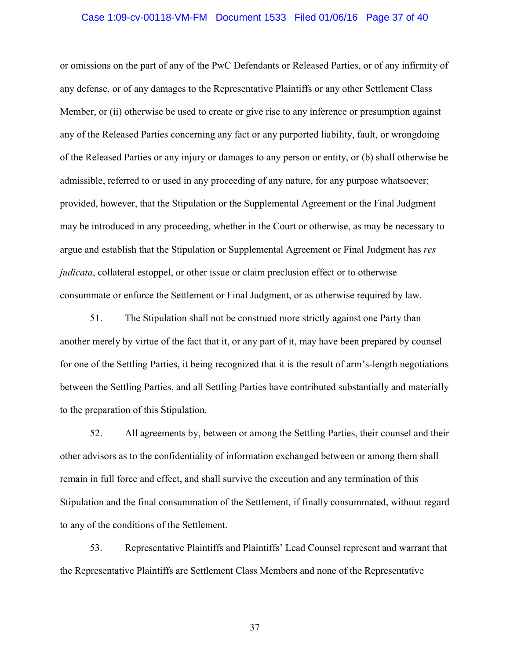#### Case 1:09-cv-00118-VM-FM Document 1533 Filed 01/06/16 Page 37 of 40

or omissions on the part of any of the PwC Defendants or Released Parties, or of any infirmity of any defense, or of any damages to the Representative Plaintiffs or any other Settlement Class Member, or (ii) otherwise be used to create or give rise to any inference or presumption against any of the Released Parties concerning any fact or any purported liability, fault, or wrongdoing of the Released Parties or any injury or damages to any person or entity, or (b) shall otherwise be admissible, referred to or used in any proceeding of any nature, for any purpose whatsoever; provided, however, that the Stipulation or the Supplemental Agreement or the Final Judgment may be introduced in any proceeding, whether in the Court or otherwise, as may be necessary to argue and establish that the Stipulation or Supplemental Agreement or Final Judgment has *res judicata*, collateral estoppel, or other issue or claim preclusion effect or to otherwise consummate or enforce the Settlement or Final Judgment, or as otherwise required by law.

51. The Stipulation shall not be construed more strictly against one Party than another merely by virtue of the fact that it, or any part of it, may have been prepared by counsel for one of the Settling Parties, it being recognized that it is the result of arm's-length negotiations between the Settling Parties, and all Settling Parties have contributed substantially and materially to the preparation of this Stipulation.

52. All agreements by, between or among the Settling Parties, their counsel and their other advisors as to the confidentiality of information exchanged between or among them shall remain in full force and effect, and shall survive the execution and any termination of this Stipulation and the final consummation of the Settlement, if finally consummated, without regard to any of the conditions of the Settlement.

53. Representative Plaintiffs and Plaintiffs' Lead Counsel represent and warrant that the Representative Plaintiffs are Settlement Class Members and none of the Representative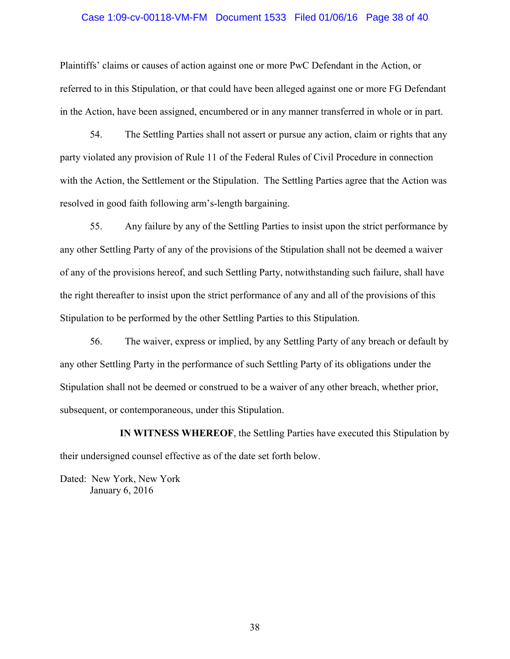# Case 1:09-cv-00118-VM-FM Document 1533 Filed 01/06/16 Page 38 of 40

Plaintiffs' claims or causes of action against one or more PwC Defendant in the Action, or referred to in this Stipulation, or that could have been alleged against one or more FG Defendant in the Action, have been assigned, encumbered or in any manner transferred in whole or in part.

54. The Settling Parties shall not assert or pursue any action, claim or rights that any party violated any provision of Rule 11 of the Federal Rules of Civil Procedure in connection with the Action, the Settlement or the Stipulation. The Settling Parties agree that the Action was resolved in good faith following arm's-length bargaining.

55. Any failure by any of the Settling Parties to insist upon the strict performance by any other Settling Party of any of the provisions of the Stipulation shall not be deemed a waiver of any of the provisions hereof, and such Settling Party, notwithstanding such failure, shall have the right thereafter to insist upon the strict performance of any and all of the provisions of this Stipulation to be performed by the other Settling Parties to this Stipulation.

56. The waiver, express or implied, by any Settling Party of any breach or default by any other Settling Party in the performance of such Settling Party of its obligations under the Stipulation shall not be deemed or construed to be a waiver of any other breach, whether prior, subsequent, or contemporaneous, under this Stipulation.

**IN WITNESS WHEREOF**, the Settling Parties have executed this Stipulation by their undersigned counsel effective as of the date set forth below.

Dated: New York, New York January 6, 2016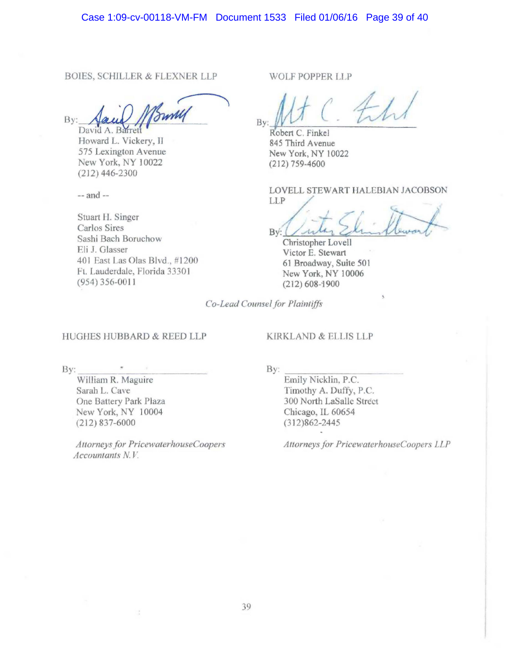BOIES, SCHILLER & FLEXNER LLP

 $By: \quad \ \ \, \text{Aaud}$  ///  $\ \, \text{Bundy}$ 

Howard L. Vickery, II 575 Lexington Avenue New York, NY 10022 (212) 446-2300

-- and --

Stuart H. Singer Carlos Sires Sashi Bach Boruchow Eli J. Glasser 401 East Las Olas Blvd., #1200 Ft. Lauderdale, Florida 33301 (954) 356-0011

WOLF POPPER LLP

By: *Robert C. Finkel I* 

845 Third Avenue New York, NY I 0022  $(212)$  759-4600

LOVELL STEWART HALEBIAN JACOBSON LLP /

 $+ (1, 1)$  $Bv:$  $(1)$ Shinklewart

Christopher Lovell Victor E. Stewart 61 Broadway, Suite 50 l New York, NY 10006 (212) 608-1900

*Co-Lead Counsel for Plaintiffs* 

#### HUGHES HUBBARD & REED LLP

KIRKLAND & ELLIS LLP

By: \_\_\_\_\_\_\_\_\_ \_

William R. Maguire Sarah L. Cave One Battery Park Plaza New York, NY 10004 (212) 837-6000

*Attorneys for PricewaterhouseCoopers Accountants N. V* 

X

By:  $\frac{E}{E}$  Emily Nicklin, P.C. Timothy A. Duffy, P.C. 300 North LaSalle Street Chicago, IL 60654 (312)862-2445

*Attorneys for PricewaterhouseCoopers LLP*